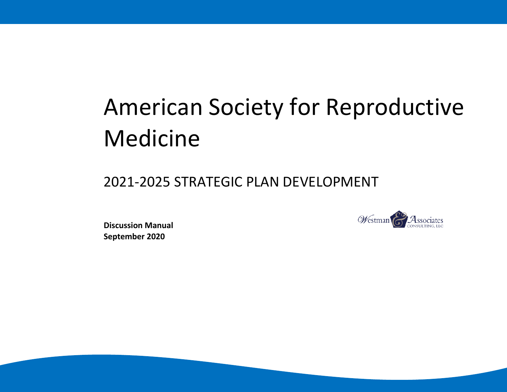# American Society for Reproductive Medicine

2021-2025 STRATEGIC PLAN DEVELOPMENT



**Discussion Manual September 2020**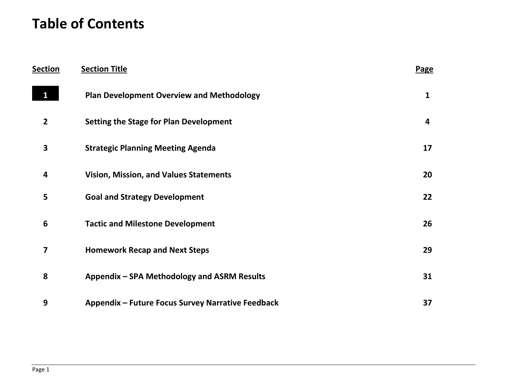| <b>Section</b>          | <b>Section Title</b>                              | <b>Page</b>  |
|-------------------------|---------------------------------------------------|--------------|
| 1                       | <b>Plan Development Overview and Methodology</b>  | $\mathbf{1}$ |
| $\overline{2}$          | <b>Setting the Stage for Plan Development</b>     | 4            |
| $\overline{\mathbf{3}}$ | <b>Strategic Planning Meeting Agenda</b>          | 17           |
| 4                       | <b>Vision, Mission, and Values Statements</b>     | 20           |
| 5                       | <b>Goal and Strategy Development</b>              | 22           |
| $6\phantom{1}6$         | <b>Tactic and Milestone Development</b>           | 26           |
| $\overline{\mathbf{z}}$ | <b>Homework Recap and Next Steps</b>              | 29           |
| 8                       | Appendix – SPA Methodology and ASRM Results       | 31           |
| 9                       | Appendix - Future Focus Survey Narrative Feedback | 37           |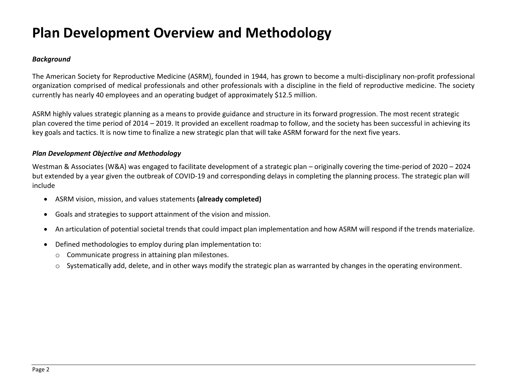# **Plan Development Overview and Methodology**

#### *Background*

The American Society for Reproductive Medicine (ASRM), founded in 1944, has grown to become a multi-disciplinary non-profit professional organization comprised of medical professionals and other professionals with a discipline in the field of reproductive medicine. The society currently has nearly 40 employees and an operating budget of approximately \$12.5 million.

ASRM highly values strategic planning as a means to provide guidance and structure in its forward progression. The most recent strategic plan covered the time period of 2014 – 2019. It provided an excellent roadmap to follow, and the society has been successful in achieving its key goals and tactics. It is now time to finalize a new strategic plan that will take ASRM forward for the next five years.

#### *Plan Development Objective and Methodology*

Westman & Associates (W&A) was engaged to facilitate development of a strategic plan – originally covering the time-period of 2020 – 2024 but extended by a year given the outbreak of COVID-19 and corresponding delays in completing the planning process. The strategic plan will include

- ASRM vision, mission, and values statements **(already completed)**
- Goals and strategies to support attainment of the vision and mission.
- An articulation of potential societal trends that could impact plan implementation and how ASRM will respond if the trends materialize.
- Defined methodologies to employ during plan implementation to:
	- o Communicate progress in attaining plan milestones.
	- o Systematically add, delete, and in other ways modify the strategic plan as warranted by changes in the operating environment.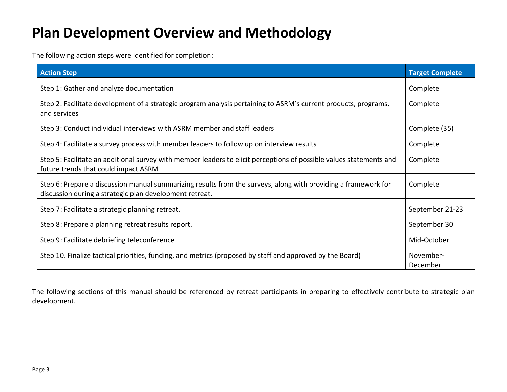# **Plan Development Overview and Methodology**

The following action steps were identified for completion:

| <b>Action Step</b>                                                                                                                                                        | <b>Target Complete</b> |
|---------------------------------------------------------------------------------------------------------------------------------------------------------------------------|------------------------|
| Step 1: Gather and analyze documentation                                                                                                                                  | Complete               |
| Step 2: Facilitate development of a strategic program analysis pertaining to ASRM's current products, programs,<br>and services                                           | Complete               |
| Step 3: Conduct individual interviews with ASRM member and staff leaders                                                                                                  | Complete (35)          |
| Step 4: Facilitate a survey process with member leaders to follow up on interview results                                                                                 | Complete               |
| Step 5: Facilitate an additional survey with member leaders to elicit perceptions of possible values statements and<br>future trends that could impact ASRM               | Complete               |
| Step 6: Prepare a discussion manual summarizing results from the surveys, along with providing a framework for<br>discussion during a strategic plan development retreat. | Complete               |
| Step 7: Facilitate a strategic planning retreat.                                                                                                                          | September 21-23        |
| Step 8: Prepare a planning retreat results report.                                                                                                                        | September 30           |
| Step 9: Facilitate debriefing teleconference                                                                                                                              | Mid-October            |
| Step 10. Finalize tactical priorities, funding, and metrics (proposed by staff and approved by the Board)                                                                 | November-<br>December  |

The following sections of this manual should be referenced by retreat participants in preparing to effectively contribute to strategic plan development.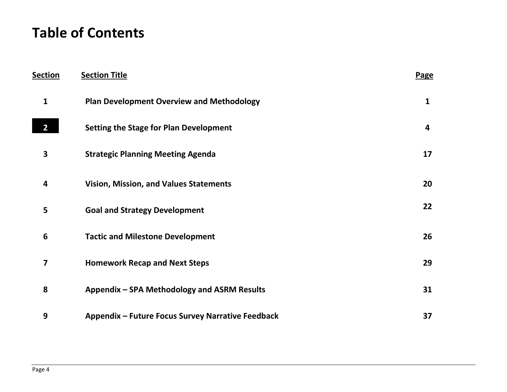| <b>Section</b>          | <b>Section Title</b>                              | <b>Page</b>             |
|-------------------------|---------------------------------------------------|-------------------------|
| $\mathbf{1}$            | <b>Plan Development Overview and Methodology</b>  | $\mathbf{1}$            |
| $\overline{2}$          | <b>Setting the Stage for Plan Development</b>     | $\overline{\mathbf{4}}$ |
| $\overline{\mathbf{3}}$ | <b>Strategic Planning Meeting Agenda</b>          | 17                      |
| 4                       | <b>Vision, Mission, and Values Statements</b>     | 20                      |
| 5                       | <b>Goal and Strategy Development</b>              | 22                      |
| 6                       | <b>Tactic and Milestone Development</b>           | 26                      |
| $\overline{\mathbf{z}}$ | <b>Homework Recap and Next Steps</b>              | 29                      |
| 8                       | Appendix - SPA Methodology and ASRM Results       | 31                      |
| 9                       | Appendix - Future Focus Survey Narrative Feedback | 37                      |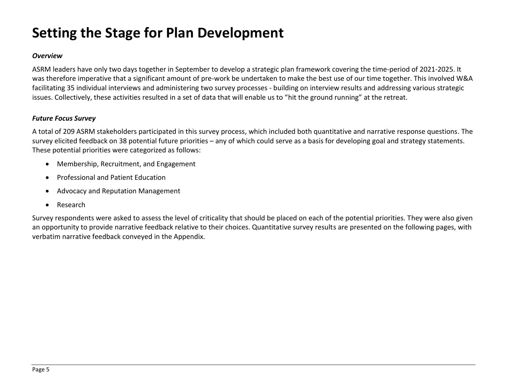### *Overview*

ASRM leaders have only two days together in September to develop a strategic plan framework covering the time-period of 2021-2025. It was therefore imperative that a significant amount of pre-work be undertaken to make the best use of our time together. This involved W&A facilitating 35 individual interviews and administering two survey processes - building on interview results and addressing various strategic issues. Collectively, these activities resulted in a set of data that will enable us to "hit the ground running" at the retreat.

### *Future Focus Survey*

A total of 209 ASRM stakeholders participated in this survey process, which included both quantitative and narrative response questions. The survey elicited feedback on 38 potential future priorities – any of which could serve as a basis for developing goal and strategy statements. These potential priorities were categorized as follows:

- Membership, Recruitment, and Engagement
- Professional and Patient Education
- Advocacy and Reputation Management
- Research

Survey respondents were asked to assess the level of criticality that should be placed on each of the potential priorities. They were also given an opportunity to provide narrative feedback relative to their choices. Quantitative survey results are presented on the following pages, with verbatim narrative feedback conveyed in the Appendix.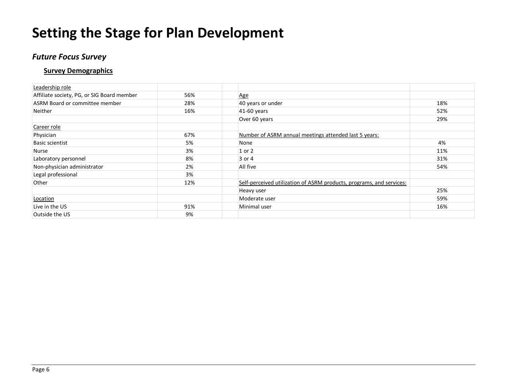### *Future Focus Survey*

### **Survey Demographics**

| Leadership role                            |     |                                                                      |     |
|--------------------------------------------|-----|----------------------------------------------------------------------|-----|
| Affiliate society, PG, or SIG Board member | 56% | Age                                                                  |     |
| ASRM Board or committee member             | 28% | 40 years or under                                                    | 18% |
| <b>Neither</b>                             | 16% | 41-60 years                                                          | 52% |
|                                            |     | Over 60 years                                                        | 29% |
| Career role                                |     |                                                                      |     |
| Physician                                  | 67% | Number of ASRM annual meetings attended last 5 years:                |     |
| Basic scientist                            | 5%  | None                                                                 | 4%  |
| Nurse                                      | 3%  | 1 or 2                                                               | 11% |
| Laboratory personnel                       | 8%  | 3 or 4                                                               | 31% |
| Non-physician administrator                | 2%  | All five                                                             | 54% |
| Legal professional                         | 3%  |                                                                      |     |
| Other                                      | 12% | Self-perceived utilization of ASRM products, programs, and services: |     |
|                                            |     | Heavy user                                                           | 25% |
| Location                                   |     | Moderate user                                                        | 59% |
| Live in the US                             | 91% | Minimal user                                                         | 16% |
| Outside the US                             | 9%  |                                                                      |     |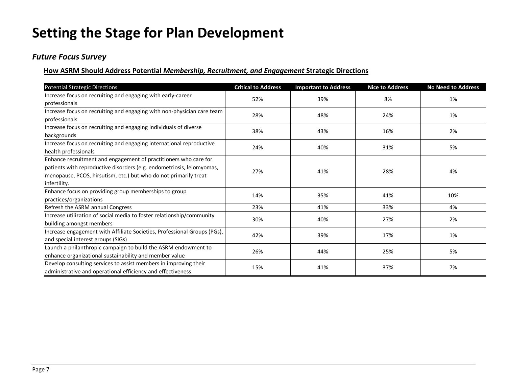### *Future Focus Survey*

### **How ASRM Should Address Potential** *Membership, Recruitment, and Engagement* **Strategic Directions**

| <b>Potential Strategic Directions</b>                                    | <b>Critical to Address</b> | <b>Important to Address</b> | <b>Nice to Address</b> | <b>No Need to Address</b> |  |
|--------------------------------------------------------------------------|----------------------------|-----------------------------|------------------------|---------------------------|--|
| Increase focus on recruiting and engaging with early-career              | 52%                        | 39%                         | 8%                     | 1%                        |  |
| professionals                                                            |                            |                             |                        |                           |  |
| Increase focus on recruiting and engaging with non-physician care team   | 28%                        | 48%                         | 24%                    | 1%                        |  |
| professionals                                                            |                            |                             |                        |                           |  |
| Increase focus on recruiting and engaging individuals of diverse         | 38%                        | 43%                         | 16%                    | 2%                        |  |
| backgrounds                                                              |                            |                             |                        |                           |  |
| Increase focus on recruiting and engaging international reproductive     | 24%                        | 40%                         | 31%                    | 5%                        |  |
| health professionals                                                     |                            |                             |                        |                           |  |
| Enhance recruitment and engagement of practitioners who care for         |                            |                             |                        |                           |  |
| patients with reproductive disorders (e.g. endometriosis, leiomyomas,    | 27%                        | 41%                         | 28%                    | 4%                        |  |
| menopause, PCOS, hirsutism, etc.) but who do not primarily treat         |                            |                             |                        |                           |  |
| infertility.                                                             |                            |                             |                        |                           |  |
| Enhance focus on providing group memberships to group                    | 14%                        | 35%                         | 41%                    | 10%                       |  |
| practices/organizations                                                  |                            |                             |                        |                           |  |
| Refresh the ASRM annual Congress                                         | 23%                        | 41%                         | 33%                    | 4%                        |  |
| Increase utilization of social media to foster relationship/community    | 30%                        | 40%                         | 27%                    | 2%                        |  |
| building amongst members                                                 |                            |                             |                        |                           |  |
| Increase engagement with Affiliate Societies, Professional Groups (PGs), | 42%                        | 39%                         | 17%                    | 1%                        |  |
| and special interest groups (SIGs)                                       |                            |                             |                        |                           |  |
| Launch a philanthropic campaign to build the ASRM endowment to           | 26%                        | 44%                         | 25%                    | 5%                        |  |
| enhance organizational sustainability and member value                   |                            |                             |                        |                           |  |
| Develop consulting services to assist members in improving their         | 15%                        | 41%                         | 37%                    | 7%                        |  |
| administrative and operational efficiency and effectiveness              |                            |                             |                        |                           |  |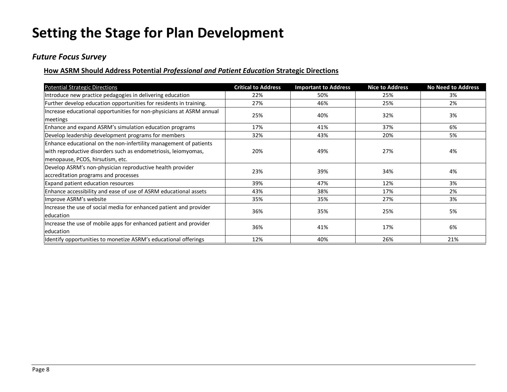### *Future Focus Survey*

### **How ASRM Should Address Potential** *Professional and Patient Education* **Strategic Directions**

| <b>Potential Strategic Directions</b>                                | <b>Critical to Address</b> | <b>Important to Address</b> | <b>Nice to Address</b> | <b>No Need to Address</b> |
|----------------------------------------------------------------------|----------------------------|-----------------------------|------------------------|---------------------------|
| Introduce new practice pedagogies in delivering education            | 22%                        | 50%                         | 25%                    | 3%                        |
| Further develop education opportunities for residents in training.   | 27%                        | 46%                         | 25%                    | 2%                        |
| Increase educational opportunities for non-physicians at ASRM annual | 25%                        | 40%                         | 32%                    | 3%                        |
| meetings                                                             |                            |                             |                        |                           |
| Enhance and expand ASRM's simulation education programs              | 17%                        | 41%                         | 37%                    | 6%                        |
| Develop leadership development programs for members                  | 32%                        | 43%                         | 20%                    | 5%                        |
| Enhance educational on the non-infertility management of patients    |                            |                             |                        |                           |
| with reproductive disorders such as endometriosis, leiomyomas,       | 20%                        | 49%                         | 27%                    | 4%                        |
| menopause, PCOS, hirsutism, etc.                                     |                            |                             |                        |                           |
| Develop ASRM's non-physician reproductive health provider            | 23%                        | 39%                         | 34%                    | 4%                        |
| accreditation programs and processes                                 |                            |                             |                        |                           |
| Expand patient education resources                                   | 39%                        | 47%                         | 12%                    | 3%                        |
| Enhance accessibility and ease of use of ASRM educational assets     | 43%                        | 38%                         | 17%                    | 2%                        |
| Improve ASRM's website                                               | 35%                        | 35%                         | 27%                    | 3%                        |
| Increase the use of social media for enhanced patient and provider   | 36%                        | 35%                         | 25%                    | 5%                        |
| education                                                            |                            |                             |                        |                           |
| Increase the use of mobile apps for enhanced patient and provider    | 36%                        | 41%                         |                        | 6%                        |
| education                                                            |                            |                             | 17%                    |                           |
| Identify opportunities to monetize ASRM's educational offerings      | 12%                        | 40%                         | 26%                    | 21%                       |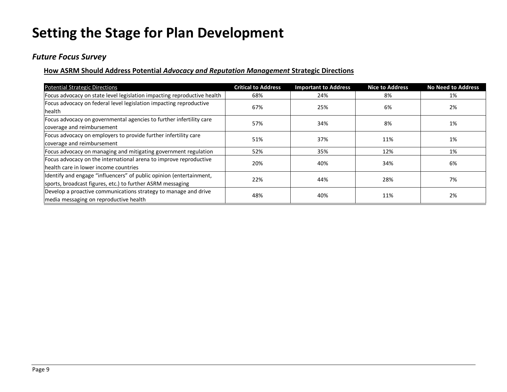### *Future Focus Survey*

### **How ASRM Should Address Potential** *Advocacy and Reputation Management* **Strategic Directions**

| <b>Potential Strategic Directions</b>                                                                                             | <b>Critical to Address</b> | <b>Important to Address</b> | <b>Nice to Address</b> | <b>No Need to Address</b> |
|-----------------------------------------------------------------------------------------------------------------------------------|----------------------------|-----------------------------|------------------------|---------------------------|
| Focus advocacy on state level legislation impacting reproductive health                                                           | 68%                        | 24%                         | 8%                     | 1%                        |
| Focus advocacy on federal level legislation impacting reproductive<br>health                                                      | 67%                        | 25%                         | 6%                     | 2%                        |
| Focus advocacy on governmental agencies to further infertility care<br>coverage and reimbursement                                 | 57%                        | 34%                         | 8%                     | 1%                        |
| Focus advocacy on employers to provide further infertility care<br>coverage and reimbursement                                     | 51%                        | 37%                         | 11%                    | 1%                        |
| Focus advocacy on managing and mitigating government regulation                                                                   | 52%                        | 35%                         | 12%                    | 1%                        |
| Focus advocacy on the international arena to improve reproductive<br>health care in lower income countries                        | 20%                        | 40%                         | 34%                    | 6%                        |
| Identify and engage "influencers" of public opinion (entertainment,<br>sports, broadcast figures, etc.) to further ASRM messaging | 22%                        | 44%                         | 28%                    | 7%                        |
| Develop a proactive communications strategy to manage and drive<br>media messaging on reproductive health                         | 48%                        | 40%                         | 11%                    | 2%                        |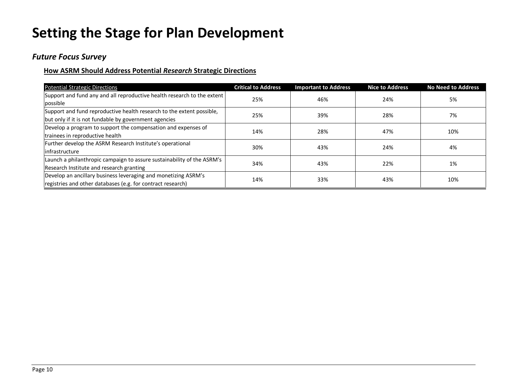### *Future Focus Survey*

### **How ASRM Should Address Potential** *Research* **Strategic Directions**

| <b>Potential Strategic Directions</b>                                                                                          | <b>Critical to Address</b> | <b>Important to Address</b> | <b>Nice to Address</b> | <b>No Need to Address</b> |
|--------------------------------------------------------------------------------------------------------------------------------|----------------------------|-----------------------------|------------------------|---------------------------|
| Support and fund any and all reproductive health research to the extent<br>possible                                            | 25%                        | 46%                         | 24%                    | 5%                        |
| Support and fund reproductive health research to the extent possible,<br>but only if it is not fundable by government agencies | 25%                        | 39%                         | 28%                    | 7%                        |
| Develop a program to support the compensation and expenses of<br>trainees in reproductive health                               | 14%                        | 28%                         | 47%                    | 10%                       |
| Further develop the ASRM Research Institute's operational<br>linfrastructure                                                   | 30%                        | 43%                         | 24%                    | 4%                        |
| Launch a philanthropic campaign to assure sustainability of the ASRM's<br>Research Institute and research granting             | 34%                        | 43%                         | 22%                    | 1%                        |
| Develop an ancillary business leveraging and monetizing ASRM's<br>registries and other databases (e.g. for contract research)  | 14%                        | 33%                         | 43%                    | 10%                       |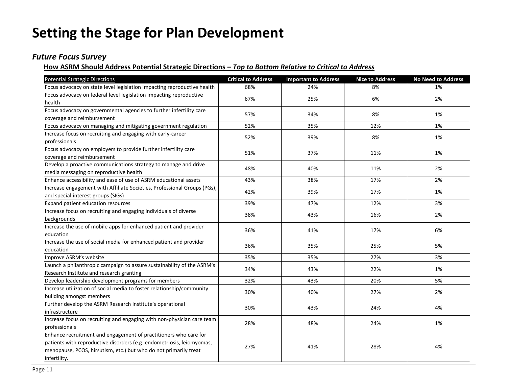### *Future Focus Survey*

### **How ASRM Should Address Potential Strategic Directions –** *Top to Bottom Relative to Critical to Address*

| <b>Potential Strategic Directions</b>                                    | <b>Critical to Address</b> | <b>Important to Address</b> | <b>Nice to Address</b> | <b>No Need to Address</b> |
|--------------------------------------------------------------------------|----------------------------|-----------------------------|------------------------|---------------------------|
| Focus advocacy on state level legislation impacting reproductive health  | 68%                        | 24%                         | 8%                     | 1%                        |
| Focus advocacy on federal level legislation impacting reproductive       |                            |                             |                        |                           |
| health                                                                   | 67%                        | 25%                         | 6%                     | 2%                        |
| Focus advocacy on governmental agencies to further infertility care      | 57%                        | 34%                         | 8%                     | 1%                        |
| coverage and reimbursement                                               |                            |                             |                        |                           |
| Focus advocacy on managing and mitigating government regulation          | 52%                        | 35%                         | 12%                    | 1%                        |
| Increase focus on recruiting and engaging with early-career              | 52%                        | 39%                         | 8%                     | 1%                        |
| professionals                                                            |                            |                             |                        |                           |
| Focus advocacy on employers to provide further infertility care          | 51%                        | 37%                         | 11%                    | 1%                        |
| coverage and reimbursement                                               |                            |                             |                        |                           |
| Develop a proactive communications strategy to manage and drive          | 48%                        | 40%                         | 11%                    | 2%                        |
| media messaging on reproductive health                                   |                            |                             |                        |                           |
| Enhance accessibility and ease of use of ASRM educational assets         | 43%                        | 38%                         | 17%                    | 2%                        |
| Increase engagement with Affiliate Societies, Professional Groups (PGs), | 42%                        | 39%                         | 17%                    | 1%                        |
| and special interest groups (SIGs)                                       |                            |                             |                        |                           |
| Expand patient education resources                                       | 39%                        | 47%                         | 12%                    | 3%                        |
| Increase focus on recruiting and engaging individuals of diverse         | 38%                        | 43%                         | 16%                    | 2%                        |
| backgrounds                                                              |                            |                             |                        |                           |
| Increase the use of mobile apps for enhanced patient and provider        | 36%                        | 41%                         | 17%                    | 6%                        |
| education                                                                |                            |                             |                        |                           |
| Increase the use of social media for enhanced patient and provider       | 36%                        | 35%                         | 25%                    | 5%                        |
| education                                                                |                            |                             |                        |                           |
| Improve ASRM's website                                                   | 35%                        | 35%                         | 27%                    | 3%                        |
| Launch a philanthropic campaign to assure sustainability of the ASRM's   | 34%                        | 43%                         | 22%                    | 1%                        |
| Research Institute and research granting                                 |                            |                             |                        |                           |
| Develop leadership development programs for members                      | 32%                        | 43%                         | 20%                    | 5%                        |
| Increase utilization of social media to foster relationship/community    | 30%                        | 40%                         | 27%                    | 2%                        |
| building amongst members                                                 |                            |                             |                        |                           |
| Further develop the ASRM Research Institute's operational                | 30%                        | 43%                         | 24%                    | 4%                        |
| infrastructure                                                           |                            |                             |                        |                           |
| Increase focus on recruiting and engaging with non-physician care team   | 28%                        | 48%                         | 24%                    | 1%                        |
| professionals                                                            |                            |                             |                        |                           |
| Enhance recruitment and engagement of practitioners who care for         |                            |                             |                        |                           |
| patients with reproductive disorders (e.g. endometriosis, leiomyomas,    | 27%                        | 41%                         | 28%                    | 4%                        |
| menopause, PCOS, hirsutism, etc.) but who do not primarily treat         |                            |                             |                        |                           |
| infertility.                                                             |                            |                             |                        |                           |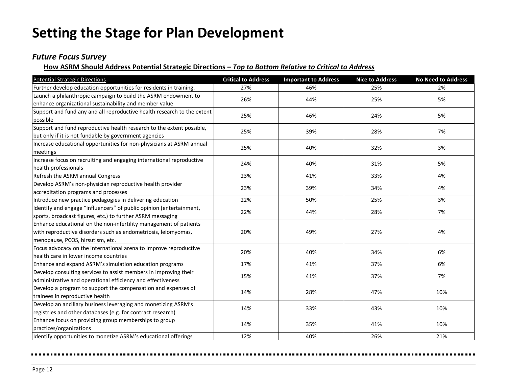### *Future Focus Survey*

### **How ASRM Should Address Potential Strategic Directions –** *Top to Bottom Relative to Critical to Address*

| <b>Potential Strategic Directions</b>                                   | <b>Critical to Address</b> | <b>Important to Address</b> | <b>Nice to Address</b> | No Need to Address |
|-------------------------------------------------------------------------|----------------------------|-----------------------------|------------------------|--------------------|
| Further develop education opportunities for residents in training.      | 27%                        | 46%                         | 25%                    | 2%                 |
| Launch a philanthropic campaign to build the ASRM endowment to          | 26%                        | 44%                         | 25%                    | 5%                 |
| enhance organizational sustainability and member value                  |                            |                             |                        |                    |
| Support and fund any and all reproductive health research to the extent | 25%                        | 46%                         | 24%                    | 5%                 |
| possible                                                                |                            |                             |                        |                    |
| Support and fund reproductive health research to the extent possible,   | 25%                        | 39%                         | 28%                    | 7%                 |
| but only if it is not fundable by government agencies                   |                            |                             |                        |                    |
| Increase educational opportunities for non-physicians at ASRM annual    | 25%                        | 40%                         | 32%                    | 3%                 |
| meetings                                                                |                            |                             |                        |                    |
| Increase focus on recruiting and engaging international reproductive    | 24%                        | 40%                         | 31%                    | 5%                 |
| health professionals                                                    |                            |                             |                        |                    |
| Refresh the ASRM annual Congress                                        | 23%                        | 41%                         | 33%                    | 4%                 |
| Develop ASRM's non-physician reproductive health provider               | 23%                        | 39%                         | 34%                    | 4%                 |
| accreditation programs and processes                                    |                            |                             |                        |                    |
| Introduce new practice pedagogies in delivering education               | 22%                        | 50%                         | 25%                    | 3%                 |
| Identify and engage "influencers" of public opinion (entertainment,     | 22%                        | 44%                         | 28%                    | 7%                 |
| sports, broadcast figures, etc.) to further ASRM messaging              |                            |                             |                        |                    |
| Enhance educational on the non-infertility management of patients       |                            |                             |                        |                    |
| with reproductive disorders such as endometriosis, leiomyomas,          | 20%                        | 49%                         | 27%                    | 4%                 |
| menopause, PCOS, hirsutism, etc.                                        |                            |                             |                        |                    |
| Focus advocacy on the international arena to improve reproductive       | 20%                        | 40%                         | 34%                    | 6%                 |
| health care in lower income countries                                   |                            |                             |                        |                    |
| Enhance and expand ASRM's simulation education programs                 | 17%                        | 41%                         | 37%                    | 6%                 |
| Develop consulting services to assist members in improving their        | 15%                        | 41%                         | 37%                    | 7%                 |
| administrative and operational efficiency and effectiveness             |                            |                             |                        |                    |
| Develop a program to support the compensation and expenses of           | 14%                        | 28%                         | 47%                    | 10%                |
| trainees in reproductive health                                         |                            |                             |                        |                    |
| Develop an ancillary business leveraging and monetizing ASRM's          | 14%                        | 33%                         | 43%                    | 10%                |
| registries and other databases (e.g. for contract research)             |                            |                             |                        |                    |
| Enhance focus on providing group memberships to group                   | 14%                        | 35%                         | 41%                    | 10%                |
| practices/organizations                                                 |                            |                             |                        |                    |
| Identify opportunities to monetize ASRM's educational offerings         | 12%                        | 40%                         | 26%                    | 21%                |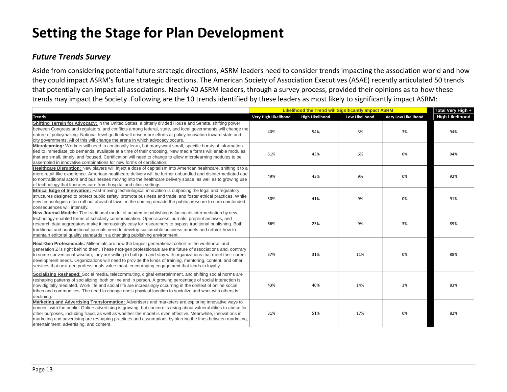### *Future Trends Survey*

Aside from considering potential future strategic directions, ASRM leaders need to consider trends impacting the association world and how they could impact ASRM's future strategic directions. The American Society of Association Executives (ASAE) recently articulated 50 trends that potentially can impact all associations. Nearly 40 ASRM leaders, through a survey process, provided their opinions as to how these trends may impact the Society. Following are the 10 trends identified by these leaders as most likely to significantly impact ASRM:

|                                                                                                                                                                                                                                                                                                                                                                                                                                                                                                                                                    |                             | <b>Likelihood the Trend will Significantly Impact ASRM</b> |                |                            |                        |
|----------------------------------------------------------------------------------------------------------------------------------------------------------------------------------------------------------------------------------------------------------------------------------------------------------------------------------------------------------------------------------------------------------------------------------------------------------------------------------------------------------------------------------------------------|-----------------------------|------------------------------------------------------------|----------------|----------------------------|------------------------|
| <b>Trends</b>                                                                                                                                                                                                                                                                                                                                                                                                                                                                                                                                      | <b>Very High Likelihood</b> | <b>High Likelihood</b>                                     | Low Likelihood | <b>Very Low Likelihood</b> | <b>High Likelihood</b> |
| Shifting Terrain for Advocacy: In the United States, a bitterly divided House and Senate, shifting power<br>between Congress and regulators, and conflicts among federal, state, and local governments will change the<br>nature of policymaking. National-level gridlock will drive more efforts at policy innovation toward state and<br>city governments. All of this will change the arena in which advocacy occurs.                                                                                                                           | 40%                         | 54%                                                        | 3%             | 3%                         | 94%                    |
| Microlearning: Workers will need to continually learn, but many want small, specific bursts of information<br>tied to immediate job demands, available at a time of their choosing. New media forms will enable modules<br>that are small, timely, and focused. Certification will need to change to allow microlearning modules to be<br>assembled in innovative combinations for new forms of certification.                                                                                                                                     | 51%                         | 43%                                                        | 6%             | 0%                         | 94%                    |
| Healthcare Disruption: New players will inject a dose of capitalism into American healthcare, shifting it to a<br>more retail-like experience. American healthcare delivery will be further unbundled and disintermediated due<br>to nontraditional actors and businesses moving into the healthcare delivery space, as well as to growing use<br>of technology that liberates care from hospital and clinic settings.                                                                                                                             | 49%                         | 43%                                                        | 9%             | 0%                         | 92%                    |
| <b>Ethical Edge of Innovation:</b> Fast-moving technological innovation is outpacing the legal and regulatory<br>structures designed to protect public safety, promote business and trade, and foster ethical practices. While<br>new technologies often roll out ahead of laws, in the coming decade the public pressure to curb unintended<br>consequences will intensify.                                                                                                                                                                       | 50%                         | 41%                                                        | 9%             | 0%                         | 91%                    |
| New Journal Models: The traditional model of academic publishing is facing disintermediation by new,<br>technology-enabled forms of scholarly communication. Open-access journals, preprint archives, and<br>research data aggregators make it increasingly easy for researchers to bypass traditional publishing. Both<br>traditional and nontraditional journals need to develop sustainable business models and rethink how to<br>maintain editorial quality standards in a changing publishing environment.                                    | 66%                         | 23%                                                        | 9%             | 3%                         | 89%                    |
| Next-Gen Professionals: Millennials are now the largest generational cohort in the workforce, and<br>generation Z is right behind them. These next-gen professionals are the future of associations and, contrary<br>to some conventional wisdom, they are willing to both join and stay with organizations that meet their career<br>development needs. Organizations will need to provide the kinds of training, mentoring, content, and other<br>services that next-gen professionals value most, encouraging engagement that leads to loyalty. | 57%                         | 31%                                                        | 11%            | 0%                         | 88%                    |
| Socializing Reshaped: Social media, telecommuting, digital entertainment, and shifting social norms are<br>reshaping patterns of socializing, both online and in person. A growing percentage of social interaction is<br>now digitally mediated. Work life and social life are increasingly occurring in the context of online social<br>tribes and communities. The need to change one's physical location to socialize and work with others is<br>declining.                                                                                    | 43%                         | 40%                                                        | 14%            | 3%                         | 83%                    |
| Marketing and Advertising Transformation: Advertisers and marketers are exploring innovative ways to<br>connect with the public. Online advertising is growing, but concern is rising about vulnerabilities to abuse for<br>other purposes, including fraud, as well as whether the model is even effective. Meanwhile, innovations in<br>marketing and advertising are reshaping practices and assumptions by blurring the lines between marketing,<br>entertainment, advertising, and content.                                                   | 31%                         | 51%                                                        | 17%            | 0%                         | 82%                    |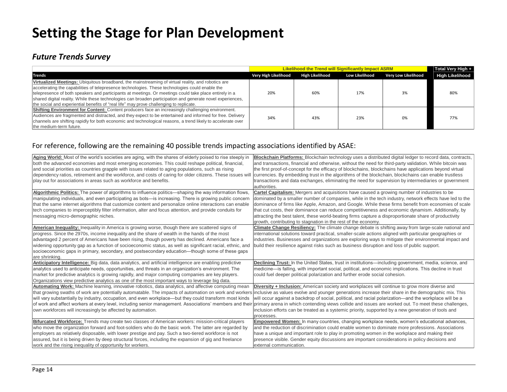### *Future Trends Survey*

|                                                                                                                                                                                                                                                                                                                                                                                                                                                                                                                          |                      | <b>Likelihood the Trend will Significantly Impact ASRM</b> |                |                            |                        |
|--------------------------------------------------------------------------------------------------------------------------------------------------------------------------------------------------------------------------------------------------------------------------------------------------------------------------------------------------------------------------------------------------------------------------------------------------------------------------------------------------------------------------|----------------------|------------------------------------------------------------|----------------|----------------------------|------------------------|
| Trends                                                                                                                                                                                                                                                                                                                                                                                                                                                                                                                   | Very High Likelihood | <b>High Likelihood</b>                                     | Low Likelihood | <b>Very Low Likelihood</b> | <b>High Likelihood</b> |
| Virtualized Meetings: Ubiquitous broadband, the mainstreaming of virtual reality, and robotics are<br>accelerating the capabilities of telepresence technologies. These technologies could enable the<br>telepresence of both speakers and participants at meetings. Or meetings could take place entirely in a<br>shared digital reality. While these technologies can broaden participation and generate novel experiences,<br>the social and experiential benefits of "real life" may prove challenging to replicate. | 20%                  | 60%                                                        | 17%            |                            | 80%                    |
| Shifting Environment for Content: Content producers face an increasingly challenging environment.<br>Audiences are fragmented and distracted, and they expect to be entertained and informed for free. Delivery<br>channels are shifting rapidly for both economic and technological reasons, a trend likely to accelerate over<br>the medium-term future.                                                                                                                                                               | 34%                  | 43%                                                        | 23%            |                            | 77%                    |

### For reference, following are the remaining 40 possible trends impacting associations identified by ASAE:

| Aging World: Most of the world's societies are aging, with the shares of elderly poised to rise steeply in<br>both the advanced economies and most emerging economies. This could reshape political, financial,<br>and social priorities as countries grapple with issues related to aging populations, such as rising<br>dependency ratios, retirement and the workforce, and costs of caring for older citizens. These issues will<br>play out for associations in areas such as workforce and benefits.                                                                                                                                                                                                    | Blockchain Platforms: Blockchain technology uses a distributed digital ledger to record data, contracts,<br>and transactions, financial and otherwise, without the need for third-party validation. While bitcoin was<br>the first proof-of-concept for the efficacy of blockchains, blockchains have applications beyond virtual<br>currencies. By embedding trust in the algorithms of the blockchain, blockchains can enable trustless<br>transactions and data exchanges, eliminating the need for supervision by intermediaries or government<br>authorities.                                       |
|---------------------------------------------------------------------------------------------------------------------------------------------------------------------------------------------------------------------------------------------------------------------------------------------------------------------------------------------------------------------------------------------------------------------------------------------------------------------------------------------------------------------------------------------------------------------------------------------------------------------------------------------------------------------------------------------------------------|----------------------------------------------------------------------------------------------------------------------------------------------------------------------------------------------------------------------------------------------------------------------------------------------------------------------------------------------------------------------------------------------------------------------------------------------------------------------------------------------------------------------------------------------------------------------------------------------------------|
| Algorithmic Politics: The power of algorithms to influence politics—shaping the way information flows,<br>manipulating individuals, and even participating as bots-is increasing. There is growing public concern<br>that the same internet algorithms that customize content and personalize online interactions can enable<br>tech companies to imperceptibly filter information, alter and focus attention, and provide conduits for<br>messaging micro-demographic niches.                                                                                                                                                                                                                                | <b>Cartel Capitalism:</b> Mergers and acquisitions have caused a growing number of industries to be<br>dominated by a smaller number of companies, while in the tech industry, network effects have led to the<br>dominance of firms like Apple, Amazon, and Google. While these firms benefit from economies of scale<br>that cut costs, their dominance can reduce competitiveness and economic dynamism. Additionally, by<br>attracting the best talent, these world-beating firms capture a disproportionate share of productivity<br>growth, contributing to stagnation in the rest of the economy. |
| <b>American Inequality:</b> Inequality in America is growing worse, though there are scattered signs of<br>progress. Since the 2970s, income inequality and the share of wealth in the hands of the most<br>advantaged 2 percent of Americans have been rising, though poverty has declined. Americans face a<br>widening opportunity gap as a function of socioeconomic status, as well as significant racial, ethnic, and<br>socioeconomic gaps in primary, secondary, and postsecondary education—though some of these gaps<br>are shrinking.                                                                                                                                                              | <b>Climate Change Resiliency:</b> The climate change debate is shifting away from large-scale national and<br>international solutions toward practical, smaller-scale actions aligned with particular geographies or<br>industries. Businesses and organizations are exploring ways to mitigate their environmental impact and<br>build their resilience against risks such as business disruption and loss of public support.                                                                                                                                                                           |
| Anticipatory Intelligence: Big data, data analytics, and artificial intelligence are enabling predictive<br>analytics used to anticipate needs, opportunities, and threats in an organization's environment. The<br>market for predictive analytics is growing rapidly, and major computing companies are key players.<br>Organizations view predictive analytics as one of the most important ways to leverage big data.                                                                                                                                                                                                                                                                                     | <b>Declining Trust:</b> In the United States, trust in institutions—including government, media, science, and<br>medicine—is falling, with important social, political, and economic implications. This decline in trust<br>could fuel deeper political polarization and further erode social cohesion.                                                                                                                                                                                                                                                                                                  |
| Automating Work: Machine learning, innovative robotics, data analytics, and affective computing mean<br>that growing swaths of work are potentially automatable. The impacts of automation on work and workers inclusive as values evolve and younger generations increase their share in the demographic mix. This<br>will vary substantially by industry, occupation, and even workplace—but they could transform most kinds<br>of work and affect workers at every level, including senior management. Associations' members and their primary arena in which contending views collide and issues are worked out. To meet these challenges,<br>own workforces will increasingly be affected by automation. | <b>Diversity + Inclusion:</b> American society and workplaces will continue to grow more diverse and<br>will occur against a backdrop of social, political, and racial polarization—and the workplace will be a<br>inclusion efforts can be treated as a systemic priority, supported by a new generation of tools and<br>processes.                                                                                                                                                                                                                                                                     |
| Bifurcated Workforce: Trends may create two classes of American workers: mission-critical players<br>who move the organization forward and foot-soldiers who do the basic work. The latter are regarded by<br>employers as relatively disposable, with lower prestige and pay. Such a two-tiered workforce is not<br>assured, but it is being driven by deep structural forces, including the expansion of gig and freelance<br>work and the rising inequality of opportunity for workers.                                                                                                                                                                                                                    | <b>Empowered Women:</b> In many countries, changing workplace needs, women's educational advances,<br>and the reduction of discrimination could enable women to dominate more professions. Associations<br>have a unique and important role to play in promoting women in the workplace and making their<br>presence visible. Gender equity discussions are important considerations in policy decisions and<br>external communication.                                                                                                                                                                  |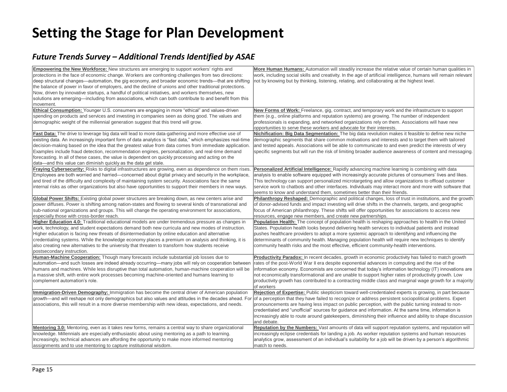### *Future Trends Survey – Additional Trends Identified by ASAE*

| Empowering the New Workforce: New structures are emerging to support workers' rights and                   | More Human Humans: Automation will steadily increase the relative value of certain human qualities in            |
|------------------------------------------------------------------------------------------------------------|------------------------------------------------------------------------------------------------------------------|
| protections in the face of economic change. Workers are confronting challenges from two directions:        | work, including social skills and creativity. In the age of artificial intelligence, humans will remain relevant |
| deep structural changes—automation, the gig economy, and broader economic trends—that are shifting         | not by knowing but by thinking, listening, relating, and collaborating at the highest level.                     |
| the balance of power in favor of employers, and the decline of unions and other traditional protections.   |                                                                                                                  |
| Now, driven by innovative startups, a handful of political initiatives, and workers themselves, new        |                                                                                                                  |
| solutions are emerging—including from associations, which can both contribute to and benefit from this     |                                                                                                                  |
| movement.                                                                                                  |                                                                                                                  |
| Ethical Consumption: Younger U.S. consumers are engaging in more "ethical" and values-driven               | New Forms of Work: Freelance, gig, contract, and temporary work and the infrastructure to support                |
| spending on products and services and investing in companies seen as doing good. The values and            | them (e.g., online platforms and reputation systems) are growing. The number of independent                      |
| demographic weight of the millennial generation suggest that this trend will grow.                         | professionals is expanding, and networked organizations rely on them. Associations will have new                 |
|                                                                                                            | opportunities to serve these workers and advocate for their interests.                                           |
| Fast Data: The drive to leverage big data will lead to more data-gathering and more effective use of       | Nichification: Big Data Segmentation: The big data revolution makes it feasible to define new niche              |
| existing data. An increasingly important form of data analytics is "fast data," which emphasizes real-time | demographic segments that share common motivations and interests and to target them with tailored                |
| decision-making based on the idea that the greatest value from data comes from immediate application.      | and tested appeals. Associations will be able to communicate to and even predict the interests of very           |
| Examples include fraud detection, recommendation engines, personalization, and real-time demand            | specific segments but will run the risk of limiting broader audience awareness of content and messaging.         |
| forecasting. In all of these cases, the value is dependent on quickly processing and acting on the         |                                                                                                                  |
| data—and this value can diminish quickly as the data get stale.                                            |                                                                                                                  |
| Fraying Cybersecurity: Risks to digital infrastructures are growing, even as dependence on them rises.     | Personalized Artificial Intelligence: Rapidly advancing machine learning is combining with data                  |
| Employees are both worried and harried—concerned about digital privacy and security in the workplace,      | analysis to enable software equipped with increasingly accurate pictures of consumers' lives and likes.          |
|                                                                                                            |                                                                                                                  |
| and tired of the difficulty and complexity of maintaining system security. Associations face the same      | This technology can support personalized microtargeting and allow organizations to offload customer              |
| internal risks as other organizations but also have opportunities to support their members in new ways.    | service work to chatbots and other interfaces. Individuals may interact more and more with software that         |
|                                                                                                            | seems to know and understand them, sometimes better than their friends.                                          |
| <b>Global Power Shifts:</b> Existing global power structures are breaking down, as new centers arise and   | Philanthropy Reshaped: Demographic and political changes, loss of trust in institutions, and the growth          |
| power diffuses. Power is shifting among nation-states and flowing to several kinds of transnational and    | of donor-advised funds and impact investing will drive shifts in the channels, targets, and geographic           |
| sub-national organizations and groups. This will change the operating environment for associations,        | focus of American philanthropy. These shifts will offer opportunities for associations to access new             |
| especially those with cross-border reach.                                                                  | resources, engage new members, and create new partnerships.                                                      |
| Higher Education 4.0: Traditional educational models are under tremendous pressure as changes in           | Population Health: The concept of population health is reshaping approaches to health in the United              |
| work, technology, and student expectations demand both new curricula and new modes of instruction.         | States. Population health looks beyond delivering health services to individual patients and instead             |
| Higher education is facing new threats of disintermediation by online education and alternative            | pushes healthcare providers to adopt a more systemic approach to identifying and influencing the                 |
| credentialing systems. While the knowledge economy places a premium on analysis and thinking, it is        | determinants of community health. Managing population health will require new techniques to identify             |
| also creating new alternatives to the university that threaten to transform how students receive           | community health risks and the most effective, efficient community-health interventions.                         |
| postsecondary instruction.                                                                                 |                                                                                                                  |
| Human-Machine Cooperation: Though many forecasts include substantial job losses due to                     | Productivity Paradox: In recent decades, growth in economic productivity has failed to match growth              |
| automation—and such losses are indeed already occurring—many jobs will rely on cooperation between         | rates of the post-World War II era despite exponential advances in computing and the rise of the                 |
| humans and machines. While less disruptive than total automation, human-machine cooperation will be        | information economy. Economists are concerned that today's information technology (IT) innovations are           |
| a massive shift, with entire work processes becoming machine-oriented and humans learning to               | not economically transformational and are unable to support higher rates of productivity growth. Low             |
| complement automation's role.                                                                              | productivity growth has contributed to a contracting middle class and marginal wage growth for a majority        |
|                                                                                                            | of workers                                                                                                       |
| Immigration-Driven Demography: Immigration has become the central driver of American population            | Rejection of Expertise: Public skepticism toward well-credentialed experts is growing, in part because           |
| growth—and will reshape not only demographics but also values and attitudes in the decades ahead. For      | of a perception that they have failed to recognize or address persistent sociopolitical problems. Expert         |
| associations, this will result in a more diverse membership with new ideas, expectations, and needs.       | pronouncements are having less impact on public perception, with the public turning instead to non-              |
|                                                                                                            | credentialed and "unofficial" sources for guidance and information. At the same time, information is             |
|                                                                                                            | increasingly able to route around gatekeepers, diminishing their influence and ability to shape discussion       |
|                                                                                                            | and debate.                                                                                                      |
| Mentoring 3.0: Mentoring, even as it takes new forms, remains a central way to share organizational        | Reputation by the Numbers: Vast amounts of data will support reputation systems, and reputation will             |
| knowledge. Millennials are especially enthusiastic about using mentoring as a path to learning.            | increasingly eclipse credentials for landing a job. As worker reputation systems and human resources             |
| Increasingly, technical advances are affording the opportunity to make more informed mentoring             | analytics grow, assessment of an individual's suitability for a job will be driven by a person's algorithmic     |
| assignments and to use mentoring to capture institutional wisdom.                                          | match to needs.                                                                                                  |
|                                                                                                            |                                                                                                                  |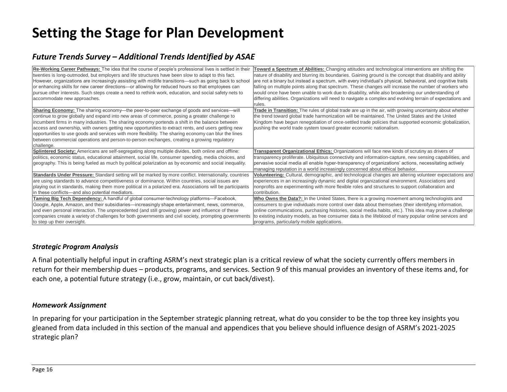### *Future Trends Survey – Additional Trends Identified by ASAE*

| Re-Working Career Pathways: The idea that the course of people's professional lives is settled in their<br>twenties is long-outmoded, but employers and life structures have been slow to adapt to this fact.<br>However, organizations are increasingly assisting with midlife transitions—such as going back to school<br>or enhancing skills for new career directions—or allowing for reduced hours so that employees can<br>pursue other interests. Such steps create a need to rethink work, education, and social safety nets to<br>accommodate new approaches.                                                      | Toward a Spectrum of Abilities: Changing attitudes and technological interventions are shifting the<br>nature of disability and blurring its boundaries. Gaining ground is the concept that disability and ability<br>are not a binary but instead a spectrum, with every individual's physical, behavioral, and cognitive traits<br>falling on multiple points along that spectrum. These changes will increase the number of workers who<br>would once have been unable to work due to disability, while also broadening our understanding of<br>differing abilities. Organizations will need to navigate a complex and evolving terrain of expectations and<br>rules. |
|-----------------------------------------------------------------------------------------------------------------------------------------------------------------------------------------------------------------------------------------------------------------------------------------------------------------------------------------------------------------------------------------------------------------------------------------------------------------------------------------------------------------------------------------------------------------------------------------------------------------------------|--------------------------------------------------------------------------------------------------------------------------------------------------------------------------------------------------------------------------------------------------------------------------------------------------------------------------------------------------------------------------------------------------------------------------------------------------------------------------------------------------------------------------------------------------------------------------------------------------------------------------------------------------------------------------|
| Sharing Economy: The sharing economy—the peer-to-peer exchange of goods and services—will<br>continue to grow globally and expand into new areas of commerce, posing a greater challenge to<br>incumbent firms in many industries. The sharing economy portends a shift in the balance between<br>access and ownership, with owners getting new opportunities to extract rents, and users getting new<br>opportunities to use goods and services with more flexibility. The sharing economy can blur the lines<br>between commercial operations and person-to-person exchanges, creating a growing regulatory<br>challenge. | Trade in Transition: The rules of global trade are up in the air, with growing uncertainty about whether<br>the trend toward global trade harmonization will be maintained. The United States and the United<br>Kingdom have begun renegotiation of once-settled trade policies that supported economic globalization,<br>pushing the world trade system toward greater economic nationalism.                                                                                                                                                                                                                                                                            |
| Splintered Society: Americans are self-segregating along multiple divides, both online and offline:<br>politics, economic status, educational attainment, social life, consumer spending, media choices, and<br>geography. This is being fueled as much by political polarization as by economic and social inequality.                                                                                                                                                                                                                                                                                                     | Transparent Organizational Ethics: Organizations will face new kinds of scrutiny as drivers of<br>transparency proliferate. Ubiquitous connectivity and information-capture, new sensing capabilities, and<br>pervasive social media all enable hyper-transparency of organizations' actions, necessitating actively<br>managing reputation in a world increasingly concerned about ethical behavior.                                                                                                                                                                                                                                                                    |
| <b>Standards Under Pressure:</b> Standard setting will be marked by more conflict. Internationally, countries<br>are using standards to advance competitiveness or dominance. Within countries, social issues are<br>playing out in standards, making them more political in a polarized era. Associations will be participants<br>in these conflicts—and also potential mediators.                                                                                                                                                                                                                                         | Volunteering: Cultural, demographic, and technological changes are altering volunteer expectations and<br>experiences in an increasingly dynamic and digital organizational environment. Associations and<br>nonprofits are experimenting with more flexible roles and structures to support collaboration and<br>contribution.                                                                                                                                                                                                                                                                                                                                          |
| Taming Big Tech Dependency: A handful of global consumer-technology platforms-Facebook,<br>Google, Apple, Amazon, and their subsidiaries—increasingly shape entertainment, news, commerce,<br>and even personal interaction. The unprecedented (and still growing) power and influence of these<br>companies create a variety of challenges for both governments and civil society, prompting governments<br>to step up their oversight.                                                                                                                                                                                    | Who Owns the Data?: In the United States, there is a growing movement among technologists and<br>consumers to give individuals more control over data about themselves (their identifying information,<br>online communications, purchasing histories, social media habits, etc.). This idea may prove a challenge<br>to existing industry models, as free consumer data is the lifeblood of many popular online services and<br>programs, particularly mobile applications.                                                                                                                                                                                             |

#### *Strategic Program Analysis*

A final potentially helpful input in crafting ASRM's next strategic plan is a critical review of what the society currently offers members in return for their membership dues – products, programs, and services. Section 9 of this manual provides an inventory of these items and, for each one, a potential future strategy (i.e., grow, maintain, or cut back/divest).

#### *Homework Assignment*

In preparing for your participation in the September strategic planning retreat, what do you consider to be the top three key insights you gleaned from data included in this section of the manual and appendices that you believe should influence design of ASRM's 2021-2025 strategic plan?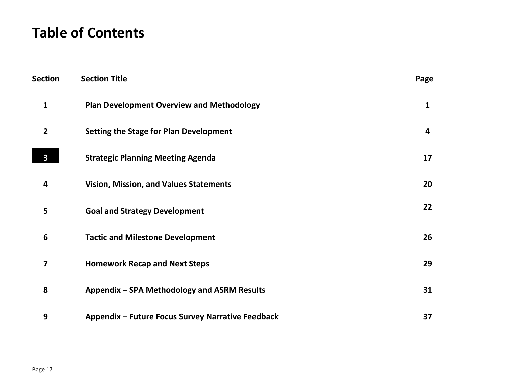| <b>Section</b>          | <b>Section Title</b>                              | Page                    |
|-------------------------|---------------------------------------------------|-------------------------|
| $\mathbf{1}$            | <b>Plan Development Overview and Methodology</b>  | $\mathbf{1}$            |
| $\overline{2}$          | <b>Setting the Stage for Plan Development</b>     | $\overline{\mathbf{4}}$ |
| $\overline{\mathbf{3}}$ | <b>Strategic Planning Meeting Agenda</b>          | 17                      |
| 4                       | <b>Vision, Mission, and Values Statements</b>     | 20                      |
| 5                       | <b>Goal and Strategy Development</b>              | 22                      |
| $6\phantom{1}6$         | <b>Tactic and Milestone Development</b>           | 26                      |
| $\overline{7}$          | <b>Homework Recap and Next Steps</b>              | 29                      |
| 8                       | Appendix - SPA Methodology and ASRM Results       | 31                      |
| 9                       | Appendix - Future Focus Survey Narrative Feedback | 37                      |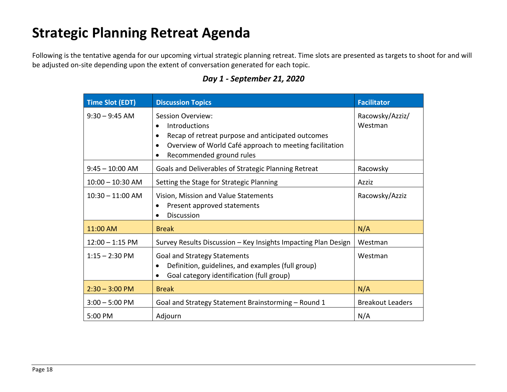# **Strategic Planning Retreat Agenda**

Following is the tentative agenda for our upcoming virtual strategic planning retreat. Time slots are presented as targets to shoot for and will be adjusted on-site depending upon the extent of conversation generated for each topic.

### *Day 1 - September 21, 2020*

| <b>Time Slot (EDT)</b> | <b>Discussion Topics</b>                                                                                                                                                                                              | <b>Facilitator</b>         |
|------------------------|-----------------------------------------------------------------------------------------------------------------------------------------------------------------------------------------------------------------------|----------------------------|
| $9:30 - 9:45$ AM       | Session Overview:<br>Introductions<br>Recap of retreat purpose and anticipated outcomes<br>$\bullet$<br>Overview of World Café approach to meeting facilitation<br>$\bullet$<br>Recommended ground rules<br>$\bullet$ | Racowsky/Azziz/<br>Westman |
| $9:45 - 10:00$ AM      | Goals and Deliverables of Strategic Planning Retreat                                                                                                                                                                  | Racowsky                   |
| $10:00 - 10:30$ AM     | Setting the Stage for Strategic Planning                                                                                                                                                                              | Azziz                      |
| $10:30 - 11:00$ AM     | Vision, Mission and Value Statements<br>Present approved statements<br>$\bullet$<br><b>Discussion</b><br>$\bullet$                                                                                                    | Racowsky/Azziz             |
| 11:00 AM               | <b>Break</b>                                                                                                                                                                                                          | N/A                        |
| $12:00 - 1:15$ PM      | Survey Results Discussion - Key Insights Impacting Plan Design                                                                                                                                                        | Westman                    |
| $1:15 - 2:30$ PM       | <b>Goal and Strategy Statements</b><br>Definition, guidelines, and examples (full group)<br>Goal category identification (full group)                                                                                 | Westman                    |
| $2:30 - 3:00$ PM       | <b>Break</b>                                                                                                                                                                                                          | N/A                        |
| $3:00 - 5:00$ PM       | Goal and Strategy Statement Brainstorming - Round 1                                                                                                                                                                   | <b>Breakout Leaders</b>    |
| 5:00 PM                | Adjourn                                                                                                                                                                                                               | N/A                        |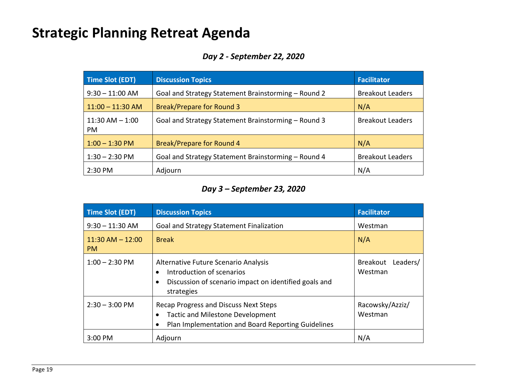### **Strategic Planning Retreat Agenda**

### *Day 2 - September 22, 2020*

| <b>Time Slot (EDT)</b>   | <b>Discussion Topics</b>                            | <b>Facilitator</b>      |
|--------------------------|-----------------------------------------------------|-------------------------|
| $9:30 - 11:00$ AM        | Goal and Strategy Statement Brainstorming - Round 2 | <b>Breakout Leaders</b> |
| $11:00 - 11:30$ AM       | <b>Break/Prepare for Round 3</b>                    | N/A                     |
| $11:30$ AM $-1:00$<br>PM | Goal and Strategy Statement Brainstorming - Round 3 | <b>Breakout Leaders</b> |
| $1:00 - 1:30$ PM         | Break/Prepare for Round 4                           | N/A                     |
| $1:30 - 2:30$ PM         | Goal and Strategy Statement Brainstorming - Round 4 | <b>Breakout Leaders</b> |
| 2:30 PM                  | Adjourn                                             | N/A                     |

### *Day 3 – September 23, 2020*

| <b>Time Slot (EDT)</b>            | <b>Discussion Topics</b>                                                                                                                                   | Facilitator                  |
|-----------------------------------|------------------------------------------------------------------------------------------------------------------------------------------------------------|------------------------------|
| $9:30 - 11:30$ AM                 | Goal and Strategy Statement Finalization                                                                                                                   | Westman                      |
| $11:30$ AM $- 12:00$<br><b>PM</b> | <b>Break</b>                                                                                                                                               | N/A                          |
| $1:00 - 2:30$ PM                  | Alternative Future Scenario Analysis<br>Introduction of scenarios<br>$\bullet$<br>Discussion of scenario impact on identified goals and<br>٠<br>strategies | Breakout Leaders/<br>Westman |
| $2:30 - 3:00 \text{ PM}$          | Recap Progress and Discuss Next Steps<br><b>Tactic and Milestone Development</b><br>Plan Implementation and Board Reporting Guidelines<br>٠                | Racowsky/Azziz/<br>Westman   |
| $3:00 \text{ PM}$                 | Adjourn                                                                                                                                                    | N/A                          |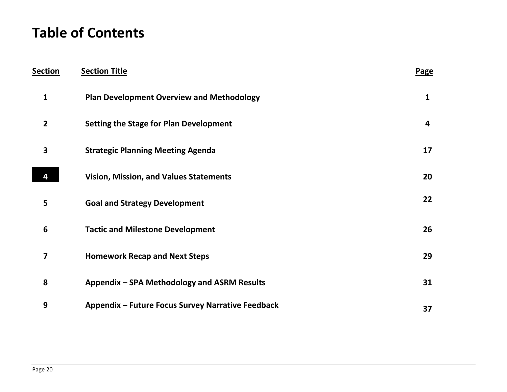| <b>Section</b>          | <b>Section Title</b>                                     | <b>Page</b>  |
|-------------------------|----------------------------------------------------------|--------------|
| $\mathbf{1}$            | <b>Plan Development Overview and Methodology</b>         | $\mathbf{1}$ |
| $\overline{2}$          | <b>Setting the Stage for Plan Development</b>            | 4            |
| $\overline{\mathbf{3}}$ | <b>Strategic Planning Meeting Agenda</b>                 | 17           |
| 4                       | <b>Vision, Mission, and Values Statements</b>            | 20           |
| 5                       | <b>Goal and Strategy Development</b>                     | 22           |
| $6\phantom{1}6$         | <b>Tactic and Milestone Development</b>                  | 26           |
| 7                       | <b>Homework Recap and Next Steps</b>                     | 29           |
| 8                       | Appendix - SPA Methodology and ASRM Results              | 31           |
| 9                       | <b>Appendix - Future Focus Survey Narrative Feedback</b> | 37           |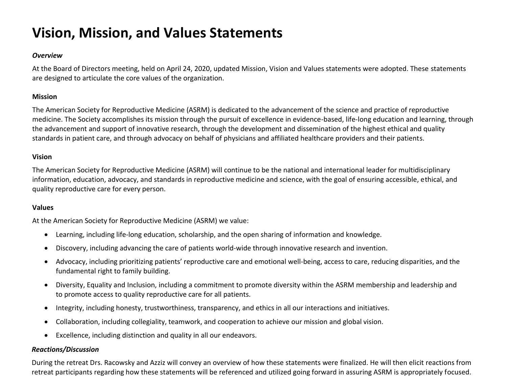# **Vision, Mission, and Values Statements**

#### *Overview*

At the Board of Directors meeting, held on April 24, 2020, updated Mission, Vision and Values statements were adopted. These statements are designed to articulate the core values of the organization.

#### **Mission**

The American Society for Reproductive Medicine (ASRM) is dedicated to the advancement of the science and practice of reproductive medicine. The Society accomplishes its mission through the pursuit of excellence in evidence-based, life-long education and learning, through the advancement and support of innovative research, through the development and dissemination of the highest ethical and quality standards in patient care, and through advocacy on behalf of physicians and affiliated healthcare providers and their patients.

#### **Vision**

The American Society for Reproductive Medicine (ASRM) will continue to be the national and international leader for multidisciplinary information, education, advocacy, and standards in reproductive medicine and science, with the goal of ensuring accessible, ethical, and quality reproductive care for every person.

#### **Values**

At the American Society for Reproductive Medicine (ASRM) we value:

- Learning, including life-long education, scholarship, and the open sharing of information and knowledge.
- Discovery, including advancing the care of patients world-wide through innovative research and invention.
- Advocacy, including prioritizing patients' reproductive care and emotional well-being, access to care, reducing disparities, and the fundamental right to family building.
- Diversity, Equality and Inclusion, including a commitment to promote diversity within the ASRM membership and leadership and to promote access to quality reproductive care for all patients.
- Integrity, including honesty, trustworthiness, transparency, and ethics in all our interactions and initiatives.
- Collaboration, including collegiality, teamwork, and cooperation to achieve our mission and global vision.
- Excellence, including distinction and quality in all our endeavors.

### *Reactions/Discussion*

During the retreat Drs. Racowsky and Azziz will convey an overview of how these statements were finalized. He will then elicit reactions from retreat participants regarding how these statements will be referenced and utilized going forward in assuring ASRM is appropriately focused.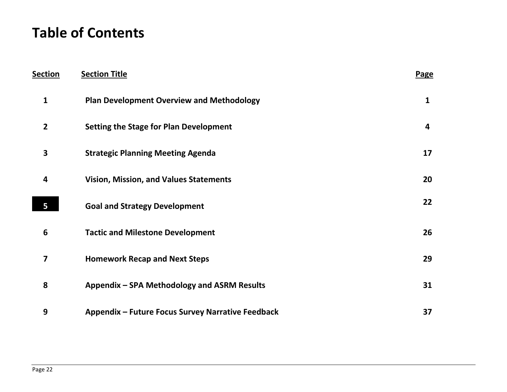| <b>Section</b>          | <b>Section Title</b>                                     | Page         |
|-------------------------|----------------------------------------------------------|--------------|
| $\mathbf{1}$            | <b>Plan Development Overview and Methodology</b>         | $\mathbf{1}$ |
| $\overline{2}$          | <b>Setting the Stage for Plan Development</b>            | 4            |
| $\overline{\mathbf{3}}$ | <b>Strategic Planning Meeting Agenda</b>                 | 17           |
| 4                       | <b>Vision, Mission, and Values Statements</b>            | 20           |
| 5                       | <b>Goal and Strategy Development</b>                     | 22           |
| $6\phantom{1}6$         | <b>Tactic and Milestone Development</b>                  | 26           |
| $\overline{\mathbf{z}}$ | <b>Homework Recap and Next Steps</b>                     | 29           |
| 8                       | Appendix - SPA Methodology and ASRM Results              | 31           |
| 9                       | <b>Appendix - Future Focus Survey Narrative Feedback</b> | 37           |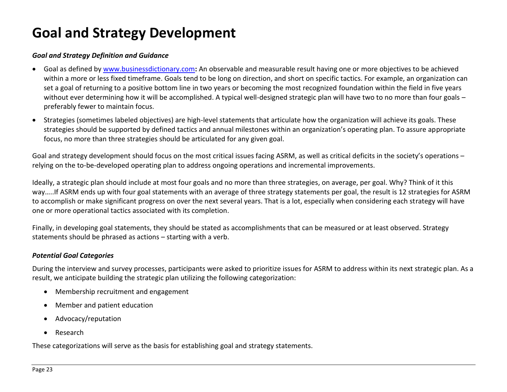# **Goal and Strategy Development**

### *Goal and Strategy Definition and Guidance*

- Goal as defined by [www.businessdictionary.com](http://www.businessdictionary.com/)**:** An observable and measurable result having one or more objectives to be achieved within a more or less fixed timeframe. Goals tend to be long on direction, and short on specific tactics. For example, an organization can set a goal of returning to a positive bottom line in two years or becoming the most recognized foundation within the field in five years without ever determining how it will be accomplished. A typical well-designed strategic plan will have two to no more than four goals – preferably fewer to maintain focus.
- Strategies (sometimes labeled objectives) are high-level statements that articulate how the organization will achieve its goals. These strategies should be supported by defined tactics and annual milestones within an organization's operating plan. To assure appropriate focus, no more than three strategies should be articulated for any given goal.

Goal and strategy development should focus on the most critical issues facing ASRM, as well as critical deficits in the society's operations – relying on the to-be-developed operating plan to address ongoing operations and incremental improvements.

Ideally, a strategic plan should include at most four goals and no more than three strategies, on average, per goal. Why? Think of it this way…..If ASRM ends up with four goal statements with an average of three strategy statements per goal, the result is 12 strategies for ASRM to accomplish or make significant progress on over the next several years. That is a lot, especially when considering each strategy will have one or more operational tactics associated with its completion.

Finally, in developing goal statements, they should be stated as accomplishments that can be measured or at least observed. Strategy statements should be phrased as actions – starting with a verb.

#### *Potential Goal Categories*

During the interview and survey processes, participants were asked to prioritize issues for ASRM to address within its next strategic plan. As a result, we anticipate building the strategic plan utilizing the following categorization:

- Membership recruitment and engagement
- Member and patient education
- Advocacy/reputation
- Research

These categorizations will serve as the basis for establishing goal and strategy statements.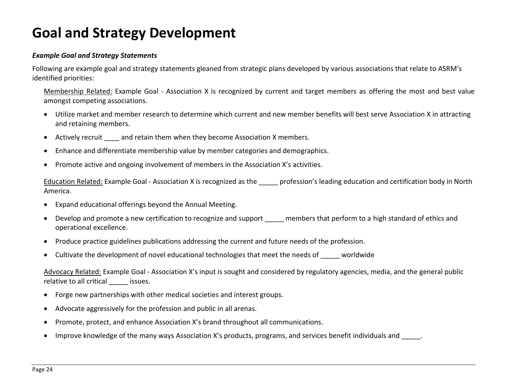# **Goal and Strategy Development**

### *Example Goal and Strategy Statements*

Following are example goal and strategy statements gleaned from strategic plans developed by various associations that relate to ASRM's identified priorities:

Membership Related: Example Goal - Association X is recognized by current and target members as offering the most and best value amongst competing associations.

- Utilize market and member research to determine which current and new member benefits will best serve Association X in attracting and retaining members.
- Actively recruit and retain them when they become Association X members.
- Enhance and differentiate membership value by member categories and demographics.
- Promote active and ongoing involvement of members in the Association X's activities.

Education Related: Example Goal - Association X is recognized as the profession's leading education and certification body in North America.

- Expand educational offerings beyond the Annual Meeting.
- Develop and promote a new certification to recognize and support members that perform to a high standard of ethics and operational excellence.
- Produce practice guidelines publications addressing the current and future needs of the profession.
- Cultivate the development of novel educational technologies that meet the needs of worldwide

Advocacy Related: Example Goal - Association X's input is sought and considered by regulatory agencies, media, and the general public relative to all critical issues.

- Forge new partnerships with other medical societies and interest groups.
- Advocate aggressively for the profession and public in all arenas.
- Promote, protect, and enhance Association X's brand throughout all communications.
- Improve knowledge of the many ways Association X's products, programs, and services benefit individuals and \_\_\_\_\_\_.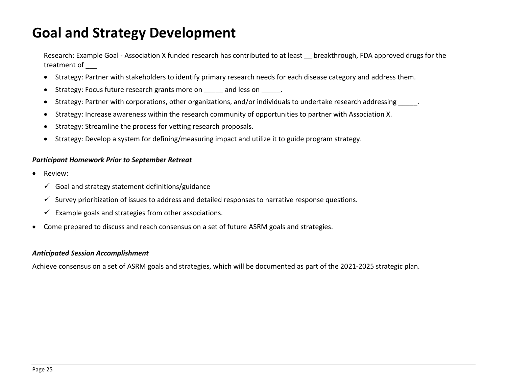# **Goal and Strategy Development**

Research: Example Goal - Association X funded research has contributed to at least \_\_ breakthrough, FDA approved drugs for the treatment of \_\_\_

- Strategy: Partner with stakeholders to identify primary research needs for each disease category and address them.
- Strategy: Focus future research grants more on and less on  $\qquad$ .
- Strategy: Partner with corporations, other organizations, and/or individuals to undertake research addressing
- Strategy: Increase awareness within the research community of opportunities to partner with Association X.
- Strategy: Streamline the process for vetting research proposals.
- Strategy: Develop a system for defining/measuring impact and utilize it to guide program strategy.

#### *Participant Homework Prior to September Retreat*

- Review:
	- $\checkmark$  Goal and strategy statement definitions/guidance
	- $\checkmark$  Survey prioritization of issues to address and detailed responses to narrative response questions.
	- $\checkmark$  Example goals and strategies from other associations.
- Come prepared to discuss and reach consensus on a set of future ASRM goals and strategies.

#### *Anticipated Session Accomplishment*

Achieve consensus on a set of ASRM goals and strategies, which will be documented as part of the 2021-2025 strategic plan.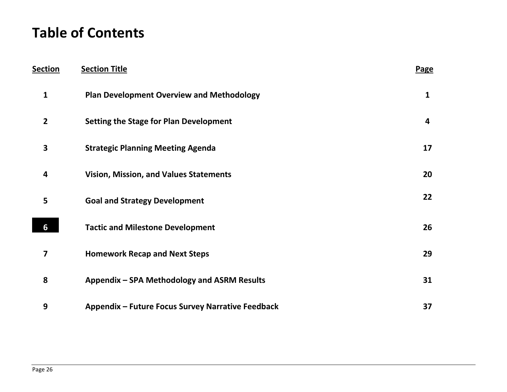| <b>Section</b> | <b>Section Title</b>                              | Page         |
|----------------|---------------------------------------------------|--------------|
| 1              | <b>Plan Development Overview and Methodology</b>  | $\mathbf{1}$ |
| $\overline{2}$ | <b>Setting the Stage for Plan Development</b>     | 4            |
| 3              | <b>Strategic Planning Meeting Agenda</b>          | 17           |
| 4              | <b>Vision, Mission, and Values Statements</b>     | 20           |
| 5              | <b>Goal and Strategy Development</b>              | 22           |
| 6              | <b>Tactic and Milestone Development</b>           | 26           |
| 7              | <b>Homework Recap and Next Steps</b>              | 29           |
| 8              | Appendix - SPA Methodology and ASRM Results       | 31           |
| 9              | Appendix - Future Focus Survey Narrative Feedback | 37           |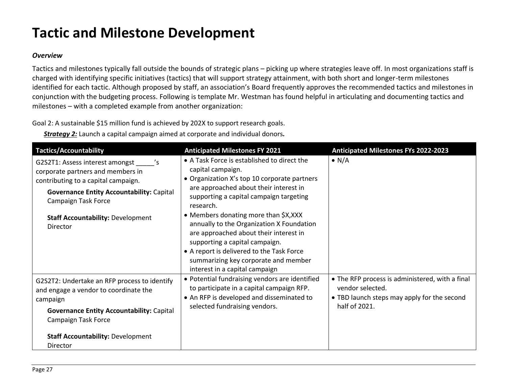# **Tactic and Milestone Development**

### *Overview*

Tactics and milestones typically fall outside the bounds of strategic plans – picking up where strategies leave off. In most organizations staff is charged with identifying specific initiatives (tactics) that will support strategy attainment, with both short and longer-term milestones identified for each tactic. Although proposed by staff, an association's Board frequently approves the recommended tactics and milestones in conjunction with the budgeting process. Following is template Mr. Westman has found helpful in articulating and documenting tactics and milestones – with a completed example from another organization:

Goal 2: A sustainable \$15 million fund is achieved by 202X to support research goals.

*Strategy 2:* Launch a capital campaign aimed at corporate and individual donors*.*

| <b>Tactics/Accountability</b>                                                                                                                                                                                                                                          | <b>Anticipated Milestones FY 2021</b>                                                                                                                                                                                                                                                                                                                                                                                                                                                                       | <b>Anticipated Milestones FYs 2022-2023</b>                                                                                         |
|------------------------------------------------------------------------------------------------------------------------------------------------------------------------------------------------------------------------------------------------------------------------|-------------------------------------------------------------------------------------------------------------------------------------------------------------------------------------------------------------------------------------------------------------------------------------------------------------------------------------------------------------------------------------------------------------------------------------------------------------------------------------------------------------|-------------------------------------------------------------------------------------------------------------------------------------|
| G2S2T1: Assess interest amongst<br>$\sim$ $\sim$ $\sim$<br>corporate partners and members in<br>contributing to a capital campaign.<br><b>Governance Entity Accountability: Capital</b><br>Campaign Task Force<br><b>Staff Accountability: Development</b><br>Director | • A Task Force is established to direct the<br>capital campaign.<br>• Organization X's top 10 corporate partners<br>are approached about their interest in<br>supporting a capital campaign targeting<br>research.<br>• Members donating more than \$X, XXX<br>annually to the Organization X Foundation<br>are approached about their interest in<br>supporting a capital campaign.<br>• A report is delivered to the Task Force<br>summarizing key corporate and member<br>interest in a capital campaign | $\bullet$ N/A                                                                                                                       |
| G2S2T2: Undertake an RFP process to identify<br>and engage a vendor to coordinate the<br>campaign<br><b>Governance Entity Accountability: Capital</b><br>Campaign Task Force<br><b>Staff Accountability: Development</b><br>Director                                   | • Potential fundraising vendors are identified<br>to participate in a capital campaign RFP.<br>• An RFP is developed and disseminated to<br>selected fundraising vendors.                                                                                                                                                                                                                                                                                                                                   | • The RFP process is administered, with a final<br>vendor selected.<br>• TBD launch steps may apply for the second<br>half of 2021. |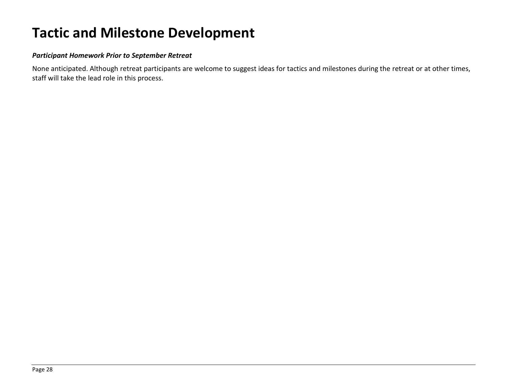# **Tactic and Milestone Development**

### *Participant Homework Prior to September Retreat*

None anticipated. Although retreat participants are welcome to suggest ideas for tactics and milestones during the retreat or at other times, staff will take the lead role in this process.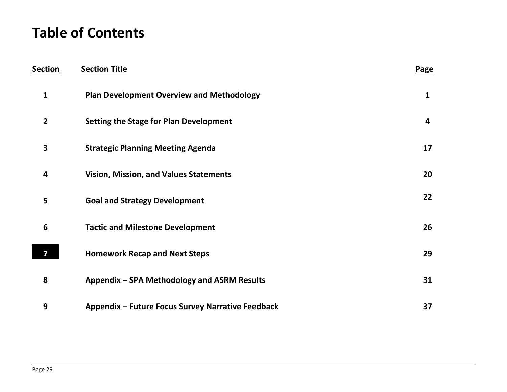| <b>Section</b> | <b>Section Title</b>                                     | <b>Page</b>  |
|----------------|----------------------------------------------------------|--------------|
| 1              | <b>Plan Development Overview and Methodology</b>         | $\mathbf{1}$ |
| $\overline{2}$ | <b>Setting the Stage for Plan Development</b>            | 4            |
| 3              | <b>Strategic Planning Meeting Agenda</b>                 | 17           |
| 4              | <b>Vision, Mission, and Values Statements</b>            | 20           |
| 5              | <b>Goal and Strategy Development</b>                     | 22           |
| 6              | <b>Tactic and Milestone Development</b>                  | 26           |
| 7              | <b>Homework Recap and Next Steps</b>                     | 29           |
| 8              | Appendix – SPA Methodology and ASRM Results              | 31           |
| 9              | <b>Appendix - Future Focus Survey Narrative Feedback</b> | 37           |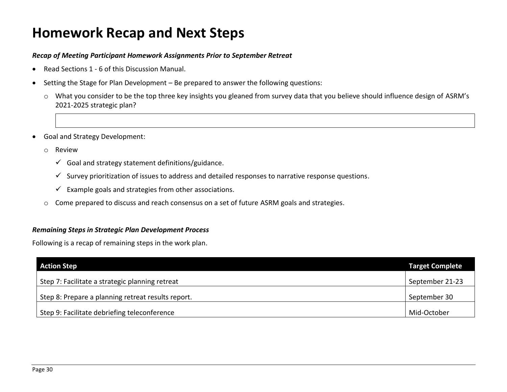### **Homework Recap and Next Steps**

### *Recap of Meeting Participant Homework Assignments Prior to September Retreat*

- Read Sections 1 6 of this Discussion Manual.
- Setting the Stage for Plan Development Be prepared to answer the following questions:
	- o What you consider to be the top three key insights you gleaned from survey data that you believe should influence design of ASRM's 2021-2025 strategic plan?
- Goal and Strategy Development:
	- o Review
		- $\checkmark$  Goal and strategy statement definitions/guidance.
		- ✓ Survey prioritization of issues to address and detailed responses to narrative response questions.
		- $\checkmark$  Example goals and strategies from other associations.
	- o Come prepared to discuss and reach consensus on a set of future ASRM goals and strategies.

### *Remaining Steps in Strategic Plan Development Process*

Following is a recap of remaining steps in the work plan.

| <b>Action Step</b>                                 | <b>Target Complete</b> |
|----------------------------------------------------|------------------------|
| Step 7: Facilitate a strategic planning retreat    | September 21-23        |
| Step 8: Prepare a planning retreat results report. | September 30           |
| Step 9: Facilitate debriefing teleconference       | Mid-October            |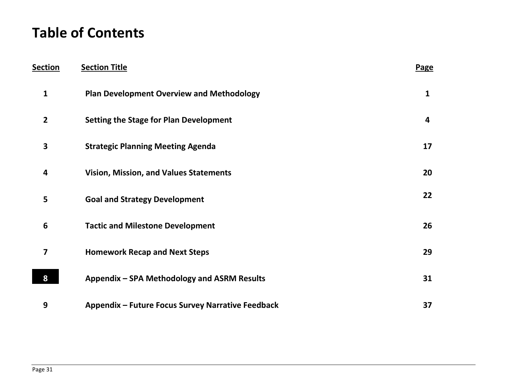| <b>Section</b>          | <b>Section Title</b>                              | <b>Page</b>  |
|-------------------------|---------------------------------------------------|--------------|
| $\mathbf{1}$            | <b>Plan Development Overview and Methodology</b>  | $\mathbf{1}$ |
| $\overline{2}$          | <b>Setting the Stage for Plan Development</b>     | 4            |
| $\overline{\mathbf{3}}$ | <b>Strategic Planning Meeting Agenda</b>          | 17           |
| 4                       | <b>Vision, Mission, and Values Statements</b>     | 20           |
| 5                       | <b>Goal and Strategy Development</b>              | 22           |
| 6                       | <b>Tactic and Milestone Development</b>           | 26           |
| $\overline{\mathbf{z}}$ | <b>Homework Recap and Next Steps</b>              | 29           |
| 8                       | Appendix - SPA Methodology and ASRM Results       | 31           |
| 9                       | Appendix – Future Focus Survey Narrative Feedback | 37           |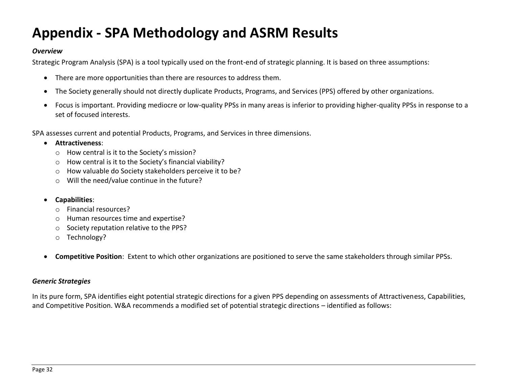#### *Overview*

Strategic Program Analysis (SPA) is a tool typically used on the front-end of strategic planning. It is based on three assumptions:

- There are more opportunities than there are resources to address them.
- The Society generally should not directly duplicate Products, Programs, and Services (PPS) offered by other organizations.
- Focus is important. Providing mediocre or low-quality PPSs in many areas is inferior to providing higher-quality PPSs in response to a set of focused interests.

SPA assesses current and potential Products, Programs, and Services in three dimensions.

- **Attractiveness**:
	- o How central is it to the Society's mission?
	- o How central is it to the Society's financial viability?
	- o How valuable do Society stakeholders perceive it to be?
	- o Will the need/value continue in the future?
- **Capabilities**:
	- o Financial resources?
	- o Human resources time and expertise?
	- o Society reputation relative to the PPS?
	- o Technology?
- **Competitive Position**: Extent to which other organizations are positioned to serve the same stakeholders through similar PPSs.

#### *Generic Strategies*

In its pure form, SPA identifies eight potential strategic directions for a given PPS depending on assessments of Attractiveness, Capabilities, and Competitive Position. W&A recommends a modified set of potential strategic directions – identified as follows: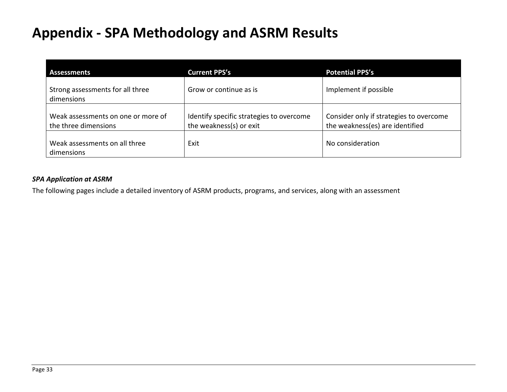| <b>Assessments</b>                                         | <b>Current PPS's</b>                                                | <b>Potential PPS's</b>                                                     |
|------------------------------------------------------------|---------------------------------------------------------------------|----------------------------------------------------------------------------|
| Strong assessments for all three<br>dimensions             | Grow or continue as is                                              | Implement if possible                                                      |
| Weak assessments on one or more of<br>the three dimensions | Identify specific strategies to overcome<br>the weakness(s) or exit | Consider only if strategies to overcome<br>the weakness(es) are identified |
| Weak assessments on all three<br>dimensions                | Exit                                                                | No consideration                                                           |

### *SPA Application at ASRM*

The following pages include a detailed inventory of ASRM products, programs, and services, along with an assessment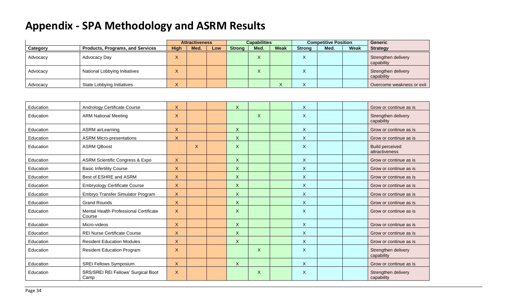|          |                                         | <b>Attractiveness</b> |      |            | <b>Capabilities</b> |                          |             |               | <b>Competitive Position</b> | <b>Generic</b> |                                   |
|----------|-----------------------------------------|-----------------------|------|------------|---------------------|--------------------------|-------------|---------------|-----------------------------|----------------|-----------------------------------|
| Category | <b>Products, Programs, and Services</b> | <b>High</b>           | Med. | <b>LOW</b> | <b>Strong</b>       | Med.                     | <b>Weak</b> | <b>Strong</b> | Med.                        | Weak           | <b>Strategy</b>                   |
| Advocacy | Advocacy Day                            |                       |      |            |                     | $\lambda$<br>⌒           |             | ∧             |                             |                | Strengthen delivery<br>capability |
| Advocacy | National Lobbying Initiatives           |                       |      |            |                     | $\overline{\phantom{a}}$ |             | ⌒             |                             |                | Strengthen delivery<br>capability |
| Advocacy | State Lobbying Initiatives              | $\mathbf{v}$          |      |            |                     |                          |             |               |                             |                | Overcome weakness or exit         |

| Education | Andrology Certificate Course                     | $\mathsf X$      |              | $\mathsf{X}$ |              | $\boldsymbol{\mathsf{X}}$ |  | Grow or continue as is                   |
|-----------|--------------------------------------------------|------------------|--------------|--------------|--------------|---------------------------|--|------------------------------------------|
| Education | <b>ARM National Meeting</b>                      | $\mathsf X$      |              |              | $\mathsf{X}$ | $\boldsymbol{\mathsf{X}}$ |  | Strengthen delivery<br>capability        |
| Education | ASRM airLearning                                 | $\mathsf{X}$     |              | $\mathsf{X}$ |              | $\mathsf{X}$              |  | Grow or continue as is                   |
| Education | <b>ASRM Micro-presentations</b>                  | $\mathsf{X}$     |              | X            |              | $\mathsf{X}$              |  | Grow or continue as is                   |
| Education | <b>ASRM QBoost</b>                               |                  | $\mathsf{x}$ | $\mathsf{X}$ |              | $\boldsymbol{\mathsf{X}}$ |  | <b>Build perceived</b><br>attractiveness |
| Education | <b>ASRM Scientific Congress &amp; Expo</b>       | X.               |              | $\mathsf{X}$ |              | $\mathsf{X}$              |  | Grow or continue as is                   |
| Education | <b>Basic Infertility Course</b>                  | $\mathsf{X}$     |              | $\mathsf X$  |              | $\mathsf{X}$              |  | Grow or continue as is                   |
| Education | Best of ESHRE and ASRM                           | $\mathsf{X}$     |              | $\mathsf{X}$ |              | $\mathsf{X}$              |  | Grow or continue as is                   |
| Education | <b>Embryology Certificate Course</b>             | $\mathsf X$      |              | $\mathsf{X}$ |              | $\mathsf X$               |  | Grow or continue as is                   |
| Education | Embryo Transfer Simulator Program                | $\mathsf{X}$     |              | $\mathsf{X}$ |              | $\pmb{\times}$            |  | Grow or continue as is                   |
| Education | <b>Grand Rounds</b>                              | $\mathsf X$      |              | $\mathsf{X}$ |              | $\mathsf X$               |  | Grow or continue as is                   |
| Education | Mental Health Professional Certificate<br>Course | $\boldsymbol{X}$ |              | $\mathsf{X}$ |              | $\boldsymbol{\mathsf{X}}$ |  | Grow or continue as is                   |
| Education | Micro-videos                                     | $\mathsf{X}$     |              | $\mathsf X$  |              | $\mathsf X$               |  | Grow or continue as is                   |
| Education | <b>REI Nurse Certificate Course</b>              | X                |              | $\mathsf{X}$ |              | $\boldsymbol{\mathsf{X}}$ |  | Grow or continue as is                   |
| Education | <b>Resident Education Modules</b>                | X                |              | $\mathsf{X}$ |              | $\sf X$                   |  | Grow or continue as is                   |
| Education | <b>Resident Education Program</b>                | X                |              |              | $\mathsf{X}$ | $\boldsymbol{\mathsf{X}}$ |  | Strengthen delivery<br>capability        |
| Education | SREI Fellows Symposium                           | $\boldsymbol{X}$ |              | $\mathsf{X}$ |              | $\pmb{\times}$            |  | Grow or continue as is                   |
| Education | SRS/SREI REI Fellows' Surgical Boot<br>Camp      | $\mathsf X$      |              |              | $\mathsf X$  | $\boldsymbol{\mathsf{X}}$ |  | Strengthen delivery<br>capability        |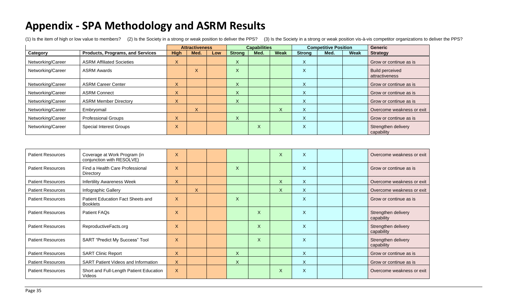(1) Is the item of high or low value to members? (2) Is the Society in a strong or weak position to deliver the PPS? (3) Is the Society in a strong or weak position vis-à-vis competitor organizations to deliver the PPS?

|                   |                                         | <b>Attractiveness</b> |              |     | <b>Capabilities</b> |      |             |                | <b>Competitive Position</b> | <b>Generic</b> |                                          |
|-------------------|-----------------------------------------|-----------------------|--------------|-----|---------------------|------|-------------|----------------|-----------------------------|----------------|------------------------------------------|
| <b>Category</b>   | <b>Products, Programs, and Services</b> | High                  | Med.         | Low | <b>Strong</b>       | Med. | <b>Weak</b> | <b>Strong</b>  | Med.                        | Weak           | <b>Strategy</b>                          |
| Networking/Career | <b>ASRM Affiliated Societies</b>        | X                     |              |     | ^                   |      |             | ⋏              |                             |                | Grow or continue as is                   |
| Networking/Career | <b>ASRM Awards</b>                      |                       | X            |     | X                   |      |             | $\lambda$<br>⋏ |                             |                | <b>Build perceived</b><br>attractiveness |
| Networking/Career | <b>ASRM Career Center</b>               | X.                    |              |     | X                   |      |             | X              |                             |                | Grow or continue as is                   |
| Networking/Career | <b>ASRM Connect</b>                     | X                     |              |     | X                   |      |             | X              |                             |                | Grow or continue as is                   |
| Networking/Career | <b>ASRM Member Directory</b>            | X.                    |              |     | X                   |      |             | X              |                             |                | Grow or continue as is                   |
| Networking/Career | Embryomail                              |                       | $\mathsf{X}$ |     |                     |      | X           | X              |                             |                | Overcome weakness or exit                |
| Networking/Career | <b>Professional Groups</b>              | X                     |              |     | X                   |      |             | X              |                             |                | Grow or continue as is                   |
| Networking/Career | <b>Special Interest Groups</b>          | $\checkmark$<br>∧     |              |     |                     | X    |             | $\lambda$<br>⋏ |                             |                | Strengthen delivery<br>capability        |

| <b>Patient Resources</b> | Coverage at Work Program (in<br>conjunction with RESOLVE) | X              |   |                           |                           | $\mathsf{X}$              | $\mathsf{X}$ |  | Overcome weakness or exit         |
|--------------------------|-----------------------------------------------------------|----------------|---|---------------------------|---------------------------|---------------------------|--------------|--|-----------------------------------|
| <b>Patient Resources</b> | Find a Health Care Professional<br>Directory              | X              |   | $\boldsymbol{\mathsf{X}}$ |                           |                           | X            |  | Grow or continue as is            |
| <b>Patient Resources</b> | <b>Infertility Awareness Week</b>                         | X              |   |                           |                           | X                         | $\times$     |  | Overcome weakness or exit         |
| <b>Patient Resources</b> | Infographic Gallery                                       |                | X |                           |                           | X                         | X            |  | Overcome weakness or exit         |
| <b>Patient Resources</b> | Patient Education Fact Sheets and<br><b>Booklets</b>      | X              |   | X                         |                           |                           | X            |  | Grow or continue as is            |
| <b>Patient Resources</b> | <b>Patient FAQs</b>                                       | X              |   |                           | X                         |                           | X            |  | Strengthen delivery<br>capability |
| <b>Patient Resources</b> | ReproductiveFacts.org                                     | $\overline{X}$ |   |                           | $\mathsf{X}$              |                           | $\times$     |  | Strengthen delivery<br>capability |
| <b>Patient Resources</b> | SART "Predict My Success" Tool                            | X              |   |                           | $\boldsymbol{\mathsf{X}}$ |                           | X            |  | Strengthen delivery<br>capability |
| <b>Patient Resources</b> | <b>SART Clinic Report</b>                                 | X              |   | X                         |                           |                           | X            |  | Grow or continue as is            |
| <b>Patient Resources</b> | <b>SART Patient Videos and Information</b>                | X              |   | X                         |                           |                           | $\times$     |  | Grow or continue as is            |
| <b>Patient Resources</b> | Short and Full-Length Patient Education<br>Videos         | X              |   |                           |                           | $\boldsymbol{\mathsf{X}}$ | X            |  | Overcome weakness or exit         |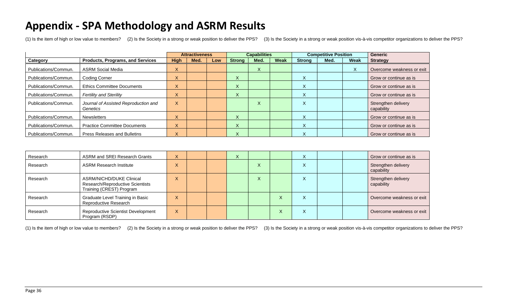## **Appendix - SPA Methodology and ASRM Results**

(1) Is the item of high or low value to members? (2) Is the Society in a strong or weak position to deliver the PPS? (3) Is the Society in a strong or weak position vis-à-vis competitor organizations to deliver the PPS?

|                      |                                                  | <b>Attractiveness</b> |      | <b>Capabilities</b> |               |      | <b>Competitive Position</b> |               |      | <b>Generic</b> |                                   |
|----------------------|--------------------------------------------------|-----------------------|------|---------------------|---------------|------|-----------------------------|---------------|------|----------------|-----------------------------------|
| Category             | <b>Products, Programs, and Services</b>          | <b>High</b>           | Med. | Low                 | <b>Strong</b> | Med. | Weak                        | <b>Strong</b> | Med. | Weak           | <b>Strategy</b>                   |
| Publications/Commun. | <b>ASRM Social Media</b>                         | X                     |      |                     |               | ⋏    |                             |               |      | $\lambda$      | Overcome weakness or exit         |
| Publications/Commun. | <b>Coding Corner</b>                             | $\checkmark$<br>^     |      |                     | ∧             |      |                             | X             |      |                | Grow or continue as is            |
| Publications/Commun. | <b>Ethics Committee Documents</b>                | $\checkmark$<br>^     |      |                     | ∧             |      |                             | X             |      |                | Grow or continue as is            |
| Publications/Commun. | <b>Fertility and Sterility</b>                   | X                     |      |                     | X.            |      |                             | X             |      |                | Grow or continue as is            |
| Publications/Commun. | Journal of Assisted Reproduction and<br>Genetics | X                     |      |                     |               | ∧.   |                             | X             |      |                | Strengthen delivery<br>capability |
| Publications/Commun. | <b>Newsletters</b>                               | X                     |      |                     | X.            |      |                             | X             |      |                | Grow or continue as is            |
| Publications/Commun. | <b>Practice Committee Documents</b>              | X                     |      |                     | ^             |      |                             | X             |      |                | Grow or continue as is            |
| Publications/Commun. | <b>Press Releases and Bulletins</b>              | X                     |      |                     | ж             |      |                             | X             |      |                | Grow or continue as is            |

| Research | ASRM and SREI Research Grants                                                                   | $\checkmark$<br>́ |  | $\sqrt{ }$ |              | $\sim$    | Grow or continue as is            |
|----------|-------------------------------------------------------------------------------------------------|-------------------|--|------------|--------------|-----------|-----------------------------------|
| Research | <b>ASRM Research Institute</b>                                                                  | ́                 |  |            | $\mathbf{A}$ | $\lambda$ | Strengthen delivery<br>capability |
| Research | <b>ASRM/NICHD/DUKE Clinical</b><br>Research/Reproductive Scientists<br>Training (CREST) Program | Λ                 |  |            | $\sim$       | $\lambda$ | Strengthen delivery<br>capability |
| Research | Graduate Level Training in Basic<br>Reproductive Research                                       | ́                 |  |            |              | $\lambda$ | Overcome weakness or exit         |
| Research | Reproductive Scientist Development<br>Program (RSDP)                                            | ∧                 |  |            |              | $\lambda$ | Overcome weakness or exit         |

(1) Is the item of high or low value to members? (2) Is the Society in a strong or weak position to deliver the PPS? (3) Is the Society in a strong or weak position vis-à-vis competitor organizations to deliver the PPS?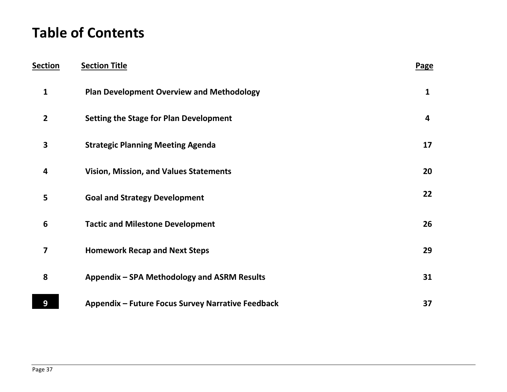## **Table of Contents**

| <b>Section</b>          | <b>Section Title</b>                                     | <b>Page</b>  |
|-------------------------|----------------------------------------------------------|--------------|
| $\mathbf{1}$            | <b>Plan Development Overview and Methodology</b>         | $\mathbf{1}$ |
| $\overline{2}$          | <b>Setting the Stage for Plan Development</b>            | 4            |
| $\overline{\mathbf{3}}$ | <b>Strategic Planning Meeting Agenda</b>                 | 17           |
| 4                       | <b>Vision, Mission, and Values Statements</b>            | 20           |
| 5                       | <b>Goal and Strategy Development</b>                     | 22           |
| 6                       | <b>Tactic and Milestone Development</b>                  | 26           |
| $\overline{\mathbf{z}}$ | <b>Homework Recap and Next Steps</b>                     | 29           |
| 8                       | Appendix - SPA Methodology and ASRM Results              | 31           |
| 9                       | <b>Appendix - Future Focus Survey Narrative Feedback</b> | 37           |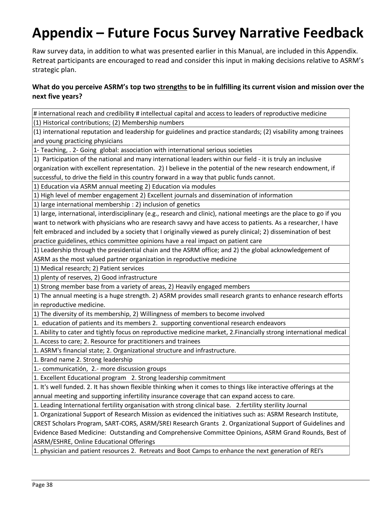Raw survey data, in addition to what was presented earlier in this Manual, are included in this Appendix. Retreat participants are encouraged to read and consider this input in making decisions relative to ASRM's strategic plan.

### **What do you perceive ASRM's top two strengths to be in fulfilling its current vision and mission over the next five years?**

# international reach and credibility # intellectual capital and access to leaders of reproductive medicine

(1) Historical contributions; (2) Membership numbers

(1) international reputation and leadership for guidelines and practice standards; (2) visability among trainees and young practicing physicians

1- Teaching, . 2- Going global: association with international serious societies

1) Participation of the national and many international leaders within our field - it is truly an inclusive organization with excellent representation. 2) I believe in the potential of the new research endowment, if

successful, to drive the field in this country forward in a way that public funds cannot.

1) Education via ASRM annual meeting 2) Education via modules

1) High level of member engagement 2) Excellent journals and dissemination of information

1) large international membership : 2) inclusion of genetics

1) large, international, interdisciplinary (e.g., research and clinic), national meetings are the place to go if you want to network with physicians who are research savvy and have access to patients. As a researcher, I have felt embraced and included by a society that I originally viewed as purely clinical; 2) dissemination of best practice guidelines, ethics committee opinions have a real impact on patient care

1) Leadership through the presidential chain and the ASRM office; and 2) the global acknowledgement of ASRM as the most valued partner organization in reproductive medicine

1) Medical research; 2) Patient services

1) plenty of reserves, 2) Good infrastructure

1) Strong member base from a variety of areas, 2) Heavily engaged members

1) The annual meeting is a huge strength. 2) ASRM provides small research grants to enhance research efforts in reproductive medicine.

1) The diversity of its membership, 2) Willingness of members to become involved

1. education of patients and its members 2. supporting conventional research endeavors

1. Ability to cater and tightly focus on reproductive medicine market, 2.Financially strong international medical

1. Access to care; 2. Resource for practitioners and trainees

1. ASRM's financial state; 2. Organizational structure and infrastructure.

1. Brand name 2. Strong leadership

1.- communicatión, 2.- more discussion groups

1. Excellent Educational program 2. Strong leadership commitment

1. It's well funded. 2. It has shown flexible thinking when it comes to things like interactive offerings at the annual meeting and supporting infertility insurance coverage that can expand access to care.

1. Leading International fertility organisation with strong clinical base. 2.fertility sterility Journal

1. Organizational Support of Research Mission as evidenced the initiatives such as: ASRM Research Institute,

CREST Scholars Program, SART-CORS, ASRM/SREI Research Grants 2. Organizational Support of Guidelines and Evidence Based Medicine: Outstanding and Comprehensive Committee Opinions, ASRM Grand Rounds, Best of ASRM/ESHRE, Online Educational Offerings

1. physician and patient resources 2. Retreats and Boot Camps to enhance the next generation of REI's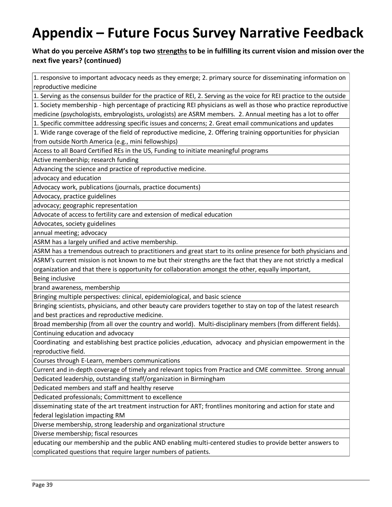**What do you perceive ASRM's top two strengths to be in fulfilling its current vision and mission over the next five years? (continued)**

1. responsive to important advocacy needs as they emerge; 2. primary source for disseminating information on reproductive medicine

1. Serving as the consensus builder for the practice of REI, 2. Serving as the voice for REI practice to the outside 1. Society membership - high percentage of practicing REI physicians as well as those who practice reproductive

medicine (psychologists, embryologists, urologists) are ASRM members. 2. Annual meeting has a lot to offer

1. Specific committee addressing specific issues and concerns; 2. Great email communications and updates

1. Wide range coverage of the field of reproductive medicine, 2. Offering training opportunities for physician from outside North America (e.g., mini fellowships)

Access to all Board Certified REs in the US, Funding to initiate meaningful programs

Active membership; research funding

Advancing the science and practice of reproductive medicine.

advocacy and education

Advocacy work, publications (journals, practice documents)

Advocacy, practice guidelines

advocacy; geographic representation

Advocate of access to fertility care and extension of medical education

Advocates, society guidelines

annual meeting; advocacy

ASRM has a largely unified and active membership.

ASRM has a tremendous outreach to practitioners and great start to its online presence for both physicians and

ASRM's current mission is not known to me but their strengths are the fact that they are not strictly a medical organization and that there is opportunity for collaboration amongst the other, equally important,

Being inclusive

brand awareness, membership

Bringing multiple perspectives: clinical, epidemiological, and basic science

Bringing scientists, physicians, and other beauty care providers together to stay on top of the latest research and best practices and reproductive medicine.

Broad membership (from all over the country and world). Multi-disciplinary members (from different fields). Continuing education and advocacy

Coordinating and establishing best practice policies ,education, advocacy and physician empowerment in the reproductive field.

Courses through E-Learn, members communications

Current and in-depth coverage of timely and relevant topics from Practice and CME committee. Strong annual Dedicated leadership, outstanding staff/organization in Birmingham

Dedicated members and staff and healthy reserve

Dedicated professionals; Committment to excellence

disseminating state of the art treatment instruction for ART; frontlines monitoring and action for state and federal legislation impacting RM

Diverse membership, strong leadership and organizational structure

Diverse membership; fiscal resources

educating our membership and the public AND enabling multi-centered studies to provide better answers to complicated questions that require larger numbers of patients.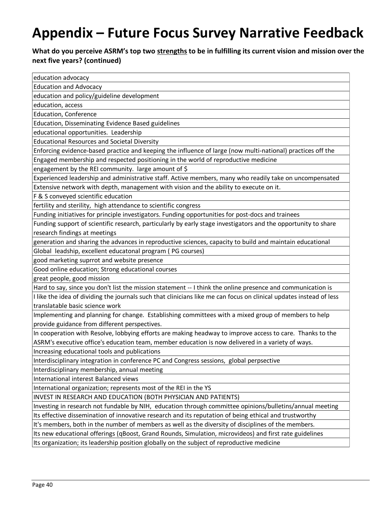**What do you perceive ASRM's top two strengths to be in fulfilling its current vision and mission over the next five years? (continued)**

| education advocacy                                                                                                  |
|---------------------------------------------------------------------------------------------------------------------|
| <b>Education and Advocacy</b>                                                                                       |
| education and policy/guideline development                                                                          |
| education, access                                                                                                   |
| Education, Conference                                                                                               |
| Education, Disseminating Evidence Based guidelines                                                                  |
| educational opportunities. Leadership                                                                               |
| <b>Educational Resources and Societal Diversity</b>                                                                 |
| Enforcing evidence-based practice and keeping the influence of large (now multi-national) practices off the         |
| Engaged membership and respected positioning in the world of reproductive medicine                                  |
| engagement by the REI community. large amount of \$                                                                 |
| Experienced leadership and administrative staff. Active members, many who readily take on uncompensated             |
| Extensive network with depth, management with vision and the ability to execute on it.                              |
| F & S conveyed scientific education                                                                                 |
| fertility and sterility, high attendance to scientific congress                                                     |
| Funding initiatives for principle investigators. Funding opportunities for post-docs and trainees                   |
| Funding support of scientific research, particularly by early stage investigators and the opportunity to share      |
| research findings at meetings                                                                                       |
| generation and sharing the advances in reproductive sciences, capacity to build and maintain educational            |
| Global leadship, excellent educatonal program (PG courses)                                                          |
| good marketing suprrot and website presence                                                                         |
| Good online education; Strong educational courses                                                                   |
| great people, good mission                                                                                          |
| Hard to say, since you don't list the mission statement -- I think the online presence and communication is         |
| I like the idea of dividing the journals such that clinicians like me can focus on clinical updates instead of less |
| translatable basic science work                                                                                     |
| Implementing and planning for change. Establishing committees with a mixed group of members to help                 |
| provide guidance from different perspectives.                                                                       |
| In cooperation with Resolve, lobbying efforts are making headway to improve access to care. Thanks to the           |
| ASRM's executive office's education team, member education is now delivered in a variety of ways.                   |
| Increasing educational tools and publications                                                                       |
| Interdisciplinary integration in conference PC and Congress sessions, global perpsective                            |
| Interdisciplinary membership, annual meeting                                                                        |
| International interest Balanced views                                                                               |
| International organization; represents most of the REI in the YS                                                    |
| INVEST IN RESEARCH AND EDUCATION (BOTH PHYSICIAN AND PATIENTS)                                                      |
| Investing in research not fundable by NIH, education through committee opinions/bulletins/annual meeting            |
| Its effective dissemination of innovative research and its reputation of being ethical and trustworthy              |
| It's members, both in the number of members as well as the diversity of disciplines of the members.                 |
| Its new educational offerings (qBoost, Grand Rounds, Simulation, microvideos) and first rate guidelines             |
| Its organization; its leadership position globally on the subject of reproductive medicine                          |
|                                                                                                                     |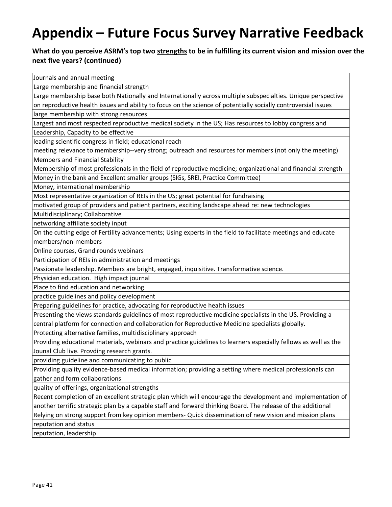### **What do you perceive ASRM's top two strengths to be in fulfilling its current vision and mission over the next five years? (continued)**

| Journals and annual meeting                                                                                     |
|-----------------------------------------------------------------------------------------------------------------|
| Large membership and financial strength                                                                         |
| Large membership base both Nationally and Internationally across multiple subspecialties. Unique perspective    |
| on reproductive health issues and ability to focus on the science of potentially socially controversial issues  |
| large membership with strong resources                                                                          |
| Largest and most respected reproductive medical society in the US; Has resources to lobby congress and          |
| Leadership, Capacity to be effective                                                                            |
| leading scientific congress in field; educational reach                                                         |
| meeting relevance to membership--very strong; outreach and resources for members (not only the meeting)         |
| <b>Members and Financial Stability</b>                                                                          |
| Membership of most professionals in the field of reproductive medicine; organizational and financial strength   |
| Money in the bank and Excellent smaller groups (SIGs, SREI, Practice Committee)                                 |
| Money, international membership                                                                                 |
| Most representative organization of REIs in the US; great potential for fundraising                             |
| motivated group of providers and patient partners, exciting landscape ahead re: new technologies                |
| Multidisciplinary; Collaborative                                                                                |
| networking affiliate society input                                                                              |
| On the cutting edge of Fertility advancements; Using experts in the field to facilitate meetings and educate    |
| members/non-members                                                                                             |
| Online courses, Grand rounds webinars                                                                           |
| Participation of REIs in administration and meetings                                                            |
| Passionate leadership. Members are bright, engaged, inquisitive. Transformative science.                        |
| Physician education. High impact journal                                                                        |
| Place to find education and networking                                                                          |
| practice guidelines and policy development                                                                      |
| Preparing guidelines for practice, advocating for reproductive health issues                                    |
| Presenting the views standards guidelines of most reproductive medicine specialists in the US. Providing a      |
| central platform for connection and collaboration for Reproductive Medicine specialists globally.               |
| Protecting alternative families, multidisciplinary approach                                                     |
| Providing educational materials, webinars and practice guidelines to learners especially fellows as well as the |
| Jounal Club live. Provding research grants.                                                                     |
| providing guideline and communicating to public                                                                 |
| Providing quality evidence-based medical information; providing a setting where medical professionals can       |
| gather and form collaborations                                                                                  |
| quality of offerings, organizational strengths                                                                  |
| Recent completion of an excellent strategic plan which will encourage the development and implementation of     |
| another terrific strategic plan by a capable staff and forward thinking Board. The release of the additional    |
| Relying on strong support from key opinion members- Quick dissemination of new vision and mission plans         |

reputation and status

reputation, leadership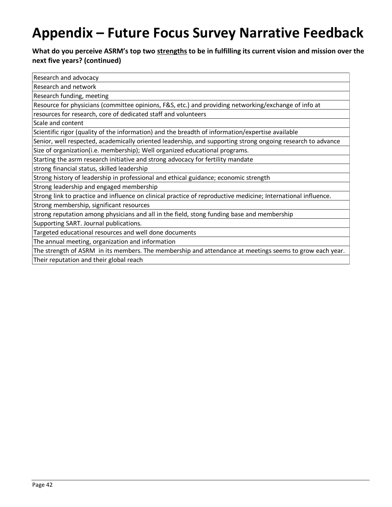**What do you perceive ASRM's top two strengths to be in fulfilling its current vision and mission over the next five years? (continued)**

| Research and advocacy                                                                                         |
|---------------------------------------------------------------------------------------------------------------|
| Research and network                                                                                          |
| Research funding, meeting                                                                                     |
| Resource for physicians (committee opinions, F&S, etc.) and providing networking/exchange of info at          |
| resources for research, core of dedicated staff and volunteers                                                |
| Scale and content                                                                                             |
| Scientific rigor (quality of the information) and the breadth of information/expertise available              |
| Senior, well respected, academically oriented leadership, and supporting strong ongoing research to advance   |
| Size of organization(i.e. membership); Well organized educational programs.                                   |
| Starting the asrm research initiative and strong advocacy for fertility mandate                               |
| strong financial status, skilled leadership                                                                   |
| Strong history of leadership in professional and ethical guidance; economic strength                          |
| Strong leadership and engaged membership                                                                      |
| Strong link to practice and influence on clinical practice of reproductive medicine; International influence. |
| Strong membership, significant resources                                                                      |
| strong reputation among physicians and all in the field, stong funding base and membership                    |
| Supporting SART. Journal publications.                                                                        |
| Targeted educational resources and well done documents                                                        |
| The annual meeting, organization and information                                                              |
| The strength of ASRM in its members. The membership and attendance at meetings seems to grow each year.       |
| Their reputation and their global reach                                                                       |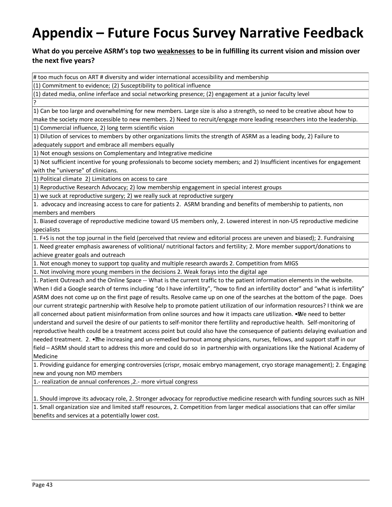### **What do you perceive ASRM's top two weaknesses to be in fulfilling its current vision and mission over the next five years?**

# too much focus on ART # diversity and wider international accessibility and membership

(1) Commitment to evidence; (2) Susceptibility to political influence

(1) dated media, online inferface and social networking presence; (2) engagement at a junior faculty level

?

1) Can be too large and overwhelming for new members. Large size is also a strength, so need to be creative about how to make the society more accessible to new members. 2) Need to recruit/engage more leading researchers into the leadership.

1) Commercial influence, 2) long term scientific vision

1) Dilution of services to members by other organizations limits the strength of ASRM as a leading body, 2) Failure to adequately support and embrace all members equally

1) Not enough sessions on Complementary and Integrative medicine

1) Not sufficient incentive for young professionals to become society members; and 2) Insufficient incentives for engagement with the "universe" of clinicians.

1) Political climate 2) Limitations on access to care

1) Reproductive Research Advocacy; 2) low membership engagement in special interest groups

1) we suck at reproductive surgery; 2) we really suck at reproductive surgery

1. advocacy and increasing access to care for patients 2. ASRM branding and benefits of membership to patients, non members and members

1. Biased coverage of reproductive medicine toward US members only, 2. Lowered interest in non-US reproductive medicine specialists

1. F+S is not the top journal in the field (perceived that review and editorial process are uneven and biased); 2. Fundraising

1. Need greater emphasis awareness of volitional/ nutritional factors and fertility; 2. More member support/donations to achieve greater goals and outreach

1. Not enough money to support top quality and multiple research awards 2. Competition from MIGS

1. Not involving more young members in the decisions 2. Weak forays into the digital age

1. Patient Outreach and the Online Space -- What is the current traffic to the patient information elements in the website. When I did a Google search of terms including "do I have infertility", "how to find an infertility doctor" and "what is infertility" ASRM does not come up on the first page of results. Resolve came up on one of the searches at the bottom of the page. Does our current strategic partnership with Resolve help to promote patient utilization of our information resources? I think we are all concerned about patient misinformation from online sources and how it impacts care utilization. • We need to better understand and surveil the desire of our patients to self-monitor there fertility and reproductive health. Self-monitoring of reproductive health could be a treatment access point but could also have the consequence of patients delaying evaluation and needed treatment. 2. • The increasing and un-remedied burnout among physicians, nurses, fellows, and support staff in our field – ASRM should start to address this more and could do so in partnership with organizations like the National Academy of Medicine

1. Providing guidance for emerging controversies (crispr, mosaic embryo management, cryo storage management); 2. Engaging new and young non MD members

1.- realization de annual conferences ,2.- more virtual congress

1. Should improve its advocacy role, 2. Stronger advocacy for reproductive medicine research with funding sources such as NIH 1. Small organization size and limited staff resources, 2. Competition from larger medical associations that can offer similar benefits and services at a potentially lower cost.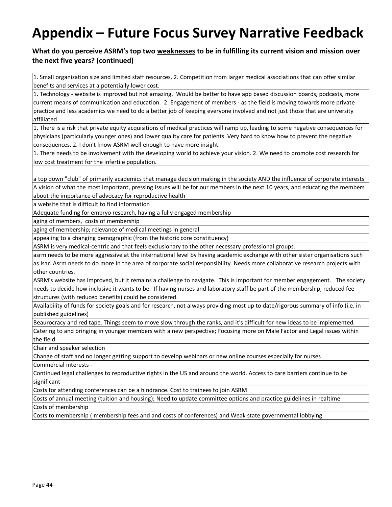**What do you perceive ASRM's top two weaknesses to be in fulfilling its current vision and mission over the next five years? (continued)**

1. Small organization size and limited staff resources, 2. Competition from larger medical associations that can offer similar benefits and services at a potentially lower cost.

1. Technology - website is improved but not amazing. Would be better to have app based discussion boards, podcasts, more current means of communication and education. 2. Engagement of members - as the field is moving towards more private practice and less academics we need to do a better job of keeping everyone involved and not just those that are university affiliated

1. There is a risk that private equity acquisitions of medical practices will ramp up, leading to some negative consequences for physicians (particularly younger ones) and lower quality care for patients. Very hard to know how to prevent the negative consequences. 2. I don't know ASRM well enough to have more insight.

1. There needs to be involvement with the developing world to achieve your vision. 2. We need to promote cost research for low cost treatment for the infertile population.

a top down "club" of primarily academics that manage decision making in the society AND the influence of corporate interests A vision of what the most important, pressing issues will be for our members in the next 10 years, and educating the members about the importance of advocacy for reproductive health

a website that is difficult to find information

Adequate funding for embryo research, having a fully engaged membership

aging of members, costs of membership

aging of membership; relevance of medical meetings in general

appealing to a changing demographic (from the historic core constituency)

ASRM is very medical-centric and that feels exclusionary to the other necessary professional groups.

asrm needs to be more aggressive at the international level by having academic exchange with other sister organisations such as Isar. Asrm needs to do more in the area of corporate social responsibility. Needs more collaborative research projects with other countries.

ASRM's website has improved, but it remains a challenge to navigate. This is important for member engagement. The society needs to decide how inclusive it wants to be. If having nurses and laboratory staff be part of the membership, reduced fee structures (with reduced benefits) could be considered.

Availability of funds for society goals and for research, not always providing most up to date/rigorous summary of info (i.e. in published guidelines)

Beaurocracy and red tape. Things seem to move slow through the ranks, and it's difficult for new ideas to be implemented.

Catering to and bringing in younger members with a new perspective; Focusing more on Male Factor and Legal issues within the field

Chair and speaker selection

Change of staff and no longer getting support to develop webinars or new online courses especially for nurses

Commercial interests -

Continued legal challenges to reproductive rights in the US and around the world. Access to care barriers continue to be significant

Costs for attending conferences can be a hindrance. Cost to trainees to join ASRM

Costs of annual meeting (tuition and housing); Need to update committee options and practice guidelines in realtime Costs of membership

Costs to membership ( membership fees and and costs of conferences) and Weak state governmental lobbying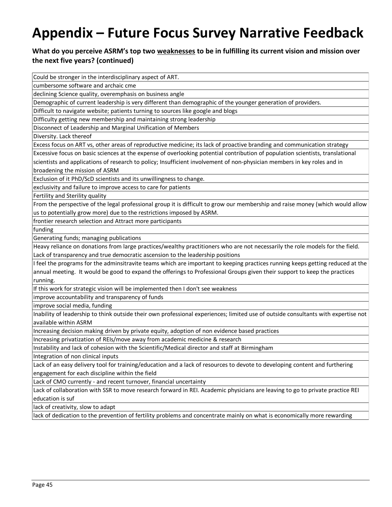**What do you perceive ASRM's top two weaknesses to be in fulfilling its current vision and mission over the next five years? (continued)**

Could be stronger in the interdisciplinary aspect of ART.

cumbersome software and archaic cme

declining Science quality, overemphasis on business angle

Demographic of current leadership is very different than demographic of the younger generation of providers.

Difficult to navigate website; patients turning to sources like google and blogs

Difficulty getting new membership and maintaining strong leadership

Disconnect of Leadership and Marginal Unification of Members

Diversity. Lack thereof

Excess focus on ART vs, other areas of reproductive medicine; its lack of proactive branding and communication strategy

Excessive focus on basic sciences at the expense of overlooking potential contribution of population scientists, translational scientists and applications of research to policy; Insufficient involvement of non-physician members in key roles and in

broadening the mission of ASRM

Exclusion of it PhD/ScD scientists and its unwillingness to change.

exclusivity and failure to improve access to care for patients

Fertility and Sterility quality

From the perspective of the legal professional group it is difficult to grow our membership and raise money (which would allow us to potentially grow more) due to the restrictions imposed by ASRM.

frontier research selection and Attract more participants

funding

Generating funds; managing publications

Heavy reliance on donations from large practices/wealthy practitioners who are not necessarily the role models for the field. Lack of transparency and true democratic ascension to the leadership positions

I feel the programs for the adminsitravite teams which are important to keeping practices running keeps getting reduced at the annual meeting. It would be good to expand the offerings to Professional Groups given their support to keep the practices running.

If this work for strategic vision will be implemented then I don't see weakness

improve accountability and transparency of funds

improve social media, funding

Inability of leadership to think outside their own professional experiences; limited use of outside consultants with expertise not available within ASRM

Increasing decision making driven by private equity, adoption of non evidence based practices

Increasing privatization of REIs/move away from academic medicine & research

Instability and lack of cohesion with the Scientific/Medical director and staff at Birmingham

Integration of non clinical inputs

Lack of an easy delivery tool for training/education and a lack of resources to devote to developing content and furthering engagement for each discipline within the field

Lack of CMO currently - and recent turnover, financial uncertainty

Lack of collaboration with SSR to move research forward in REI. Academic physicians are leaving to go to private practice REI education is suf

lack of creativity, slow to adapt

lack of dedication to the prevention of fertility problems and concentrate mainly on what is economically more rewarding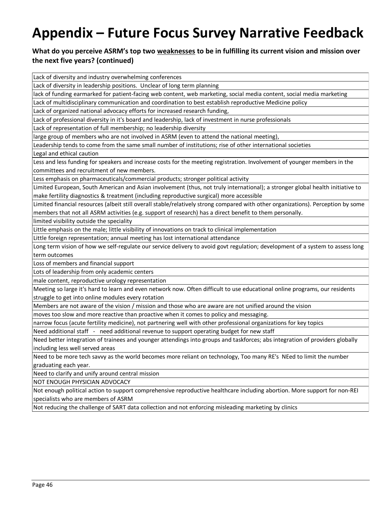### **What do you perceive ASRM's top two weaknesses to be in fulfilling its current vision and mission over the next five years? (continued)**

Lack of diversity and industry overwhelming conferences

Lack of diversity in leadership positions. Unclear of long term planning

lack of funding earmarked for patient-facing web content, web marketing, social media content, social media marketing Lack of multidisciplinary communication and coordination to best establish reproductive Medicine policy

Lack of organized national advocacy efforts for increased research funding,

Lack of professional diversity in it's board and leadership, lack of investment in nurse professionals

Lack of representation of full membership; no leadership diversity

large group of members who are not involved in ASRM (even to attend the national meeting),

Leadership tends to come from the same small number of institutions; rise of other international societies

Legal and ethical caution

Less and less funding for speakers and increase costs for the meeting registration. Involvement of younger members in the committees and recruitment of new members.

Less emphasis on pharmaceuticals/commercial products; stronger political activity

Limited European, South American and Asian involvement (thus, not truly international); a stronger global health initiative to make fertility diagnostics & treatment (including reproductive surgical) more accessible

Limited financial resources (albeit still overall stable/relatively strong compared with other organizations). Perception by some members that not all ASRM activities (e.g. support of research) has a direct benefit to them personally.

limited visibility outside the speciality

Little emphasis on the male; little visibility of innovations on track to clinical implementation

Little foreign representation; annual meeting has lost international attendance

Long term vision of how we self-regulate our service delivery to avoid govt regulation; development of a system to assess long term outcomes

Loss of members and financial support

Lots of leadership from only academic centers

male content, reproductive urology representation

Meeting so large it's hard to learn and even network now. Often difficult to use educational online programs, our residents struggle to get into online modules every rotation

Members are not aware of the vision / mission and those who are aware are not unified around the vision

moves too slow and more reactive than proactive when it comes to policy and messaging.

narrow focus (acute fertility medicine), not partnering well with other professional organizations for key topics

Need additional staff - need additional revenue to support operating budget for new staff

Need better integration of trainees and younger attendings into groups and taskforces; abs integration of providers globally including less well served areas

Need to be more tech savvy as the world becomes more reliant on technology, Too many RE's NEed to limit the number graduating each year.

Need to clarify and unify around central mission

NOT ENOUGH PHYSICIAN ADVOCACY

Not enough political action to support comprehensive reproductive healthcare including abortion. More support for non-REI specialists who are members of ASRM

Not reducing the challenge of SART data collection and not enforcing misleading marketing by clinics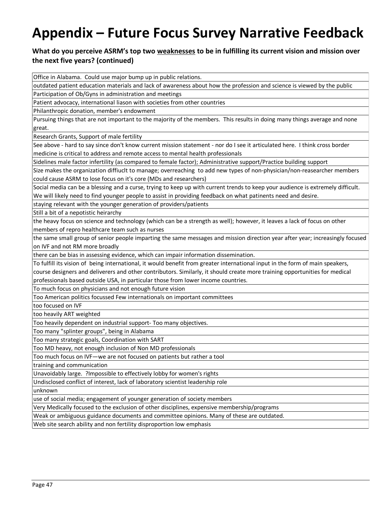### **What do you perceive ASRM's top two weaknesses to be in fulfilling its current vision and mission over the next five years? (continued)**

Office in Alabama. Could use major bump up in public relations.

outdated patient education materials and lack of awareness about how the profession and science is viewed by the public

Participation of Ob/Gyns in administration and meetings

Patient advocacy, international liason with societies from other countries

Philanthropic donation, member's endowment

Pursuing things that are not important to the majority of the members. This results in doing many things average and none great.

Research Grants, Support of male fertility

See above - hard to say since don't know current mission statement - nor do I see it articulated here. I think cross border medicine is critical to address and remote access to mental health professionals

Sidelines male factor infertility (as compared to female factor); Administrative support/Practice building support

Size makes the organization diffiuclt to manage; overreaching to add new types of non-physician/non-reasearcher members could cause ASRM to lose focus on it's core (MDs and researchers)

Social media can be a blessing and a curse, trying to keep up with current trends to keep your audience is extremely difficult. We will likely need to find younger people to assist in providing feedback on what patinents need and desire.

staying relevant with the younger generation of providers/patients

Still a bit of a nepotistic heirarchy

the heavy focus on science and technology (which can be a strength as well); however, it leaves a lack of focus on other members of repro healthcare team such as nurses

the same small group of senior people imparting the same messages and mission direction year after year; increasingly focused on IVF and not RM more broadly

there can be bias in assessing evidence, which can impair information dissemination.

To fulfill its vision of being international, it would benefit from greater international input in the form of main speakers, course designers and deliverers and other contributors. Similarly, it should create more training opportunities for medical professionals based outside USA, in particular those from lower income countries.

To much focus on physicians and not enough future vision

Too American politics focussed Few internationals on important committees

too focused on IVF

too heavily ART weighted

Too heavily dependent on industrial support- Too many objectives.

Too many "splinter groups", being in Alabama

Too many strategic goals, Coordination with SART

Too MD heavy, not enough inclusion of Non MD professionals

Too much focus on IVF—we are not focused on patients but rather a tool

training and communication

Unavoidably large. ?Impossible to effectively lobby for women's rights

Undisclosed conflict of interest, lack of laboratory scientist leadership role

unknown

use of social media; engagement of younger generation of society members

Very Medically focused to the exclusion of other disciplines, expensive membership/programs

Weak or ambiguous guidance documents and committee opinions. Many of these are outdated.

Web site search ability and non fertility disproportion low emphasis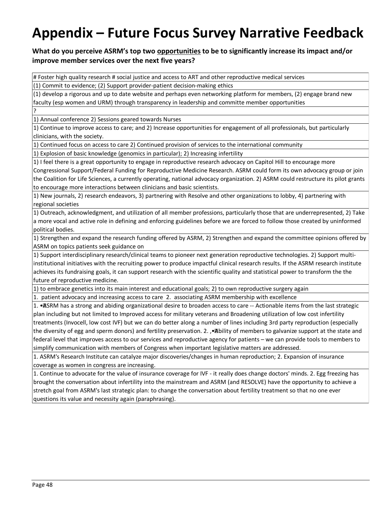### **What do you perceive ASRM's top two opportunities to be to significantly increase its impact and/or improve member services over the next five years?**

# Foster high quality research # social justice and access to ART and other reproductive medical services

(1) Commit to evidence; (2) Support provider-patient decision-making ethics

(1) develop a rigorous and up to date website and perhaps even networking platform for members, (2) engage brand new faculty (esp women and URM) through transparency in leadership and committe member opportunities

?

1) Annual conference 2) Sessions geared towards Nurses

1) Continue to improve access to care; and 2) Increase opportunities for engagement of all professionals, but particularly clinicians, with the society.

1) Continued focus on access to care 2) Continued provision of services to the international community

1) Explosion of basic knowledge (genomics in particular); 2) Increasing infertility

1) I feel there is a great opportunity to engage in reproductive research advocacy on Capitol Hill to encourage more

Congressional Support/Federal Funding for Reproductive Medicine Research. ASRM could form its own advocacy group or join the Coalition for Life Sciences, a currently operating, national advocacy organization. 2) ASRM could restructure its pilot grants to encourage more interactions between clinicians and basic scientists.

1) New journals, 2) research endeavors, 3) partnering with Resolve and other organizations to lobby, 4) partnering with regional societies

1) Outreach, acknowledgment, and utilization of all member professions, particularly those that are underrepresented, 2) Take a more vocal and active role in defining and enforcing guidelines before we are forced to follow those created by uninformed political bodies.

1) Strengthen and expand the research funding offered by ASRM, 2) Strengthen and expand the committee opinions offered by ASRM on topics patients seek guidance on

1) Support interdisciplinary research/clinical teams to pioneer next generation reproductive technologies. 2) Support multiinstitutional initiatives with the recruiting power to produce impactful clinical research results. If the ASRM research institute achieves its fundraising goals, it can support research with the scientific quality and statistical power to transform the the future of reproductive medicine.

1) to embrace genetics into its main interest and educational goals; 2) to own reproductive surgery again

1. patient advocacy and increasing access to care 2. associating ASRM membership with excellence

1. • ASRM has a strong and abiding organizational desire to broaden access to care -- Actionable items from the last strategic plan including but not limited to Improved access for military veterans and Broadening utilization of low cost infertility treatments (Invocell, low cost IVF) but we can do better along a number of lines including 3rd party reproduction (especially the diversity of egg and sperm donors) and fertility preservation. 2. , • Ability of members to galvanize support at the state and federal level that improves access to our services and reproductive agency for patients – we can provide tools to members to simplify communication with members of Congress when important legislative matters are addressed.

1. ASRM's Research Institute can catalyze major discoveries/changes in human reproduction; 2. Expansion of insurance coverage as women in congress are increasing.

1. Continue to advocate for the value of insurance coverage for IVF - it really does change doctors' minds. 2. Egg freezing has brought the conversation about infertility into the mainstream and ASRM (and RESOLVE) have the opportunity to achieve a stretch goal from ASRM's last strategic plan: to change the conversation about fertility treatment so that no one ever questions its value and necessity again (paraphrasing).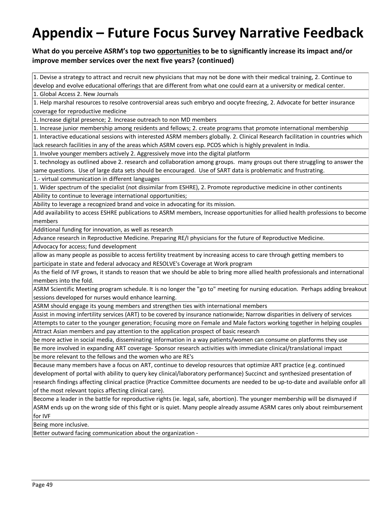### **What do you perceive ASRM's top two opportunities to be to significantly increase its impact and/or improve member services over the next five years? (continued)**

1. Devise a strategy to attract and recruit new physicians that may not be done with their medical training, 2. Continue to develop and evolve educational offerings that are different from what one could earn at a university or medical center.

1. Global Access 2. New Journals

1. Help marshal resources to resolve controversial areas such embryo and oocyte freezing, 2. Advocate for better insurance coverage for reproductive medicine

1. Increase digital presence; 2. Increase outreach to non MD members

1. Increase junior membership among residents and fellows; 2. create programs that promote international membership

1. Interactive educational sessions with interested ASRM members globally. 2. Clinical Research facilitation in countries which lack research facilities in any of the areas which ASRM covers esp. PCOS which is highly prevalent in India.

1. Involve younger members actively 2. Aggressively move into the digital platform

1. technology as outlined above 2. research and collaboration among groups. many groups out there struggling to answer the same questions. Use of large data sets should be encouraged. Use of SART data is problematic and frustrating.

1.- virtual communication in different languages

1. Wider spectrum of the specialist (not dissimilar from ESHRE), 2. Promote reproductive medicine in other continents Ability to continue to leverage international opportunities;

Ability to leverage a recognized brand and voice in advocating for its mission.

Add availability to access ESHRE publications to ASRM members, Increase opportunities for allied health professions to become members

Additional funding for innovation, as well as research

Advance research in Reproductive Medicine. Preparing RE/I physicians for the future of Reproductive Medicine.

Advocacy for access; fund development

allow as many people as possible to access fertility treatment by increasing access to care through getting members to participate in state and federal advocacy and RESOLVE's Coverage at Work program

As the field of IVF grows, it stands to reason that we should be able to bring more allied health professionals and international members into the fold.

ASRM Scientific Meeting program schedule. It is no longer the "go to" meeting for nursing education. Perhaps adding breakout sessions developed for nurses would enhance learning.

ASRM should engage its young members and strengthen ties with international members

Assist in moving infertility services (ART) to be covered by insurance nationwide; Narrow disparities in delivery of services

Attempts to cater to the younger generation; Focusing more on Female and Male factors working together in helping couples Attract Asian members and pay attention to the application prospect of basic research

be more active in social media, disseminating information in a way patients/women can consume on platforms they use

Be more involved in expanding ART coverage- Sponsor research activities with immediate clinical/translational impact be more relevant to the fellows and the women who are RE's

Because many members have a focus on ART, continue to develop resources that optimize ART practice (e.g. continued development of portal with ability to query key clinical/laboratory performance) Succinct and synthesized presentation of research findings affecting clinical practice (Practice Committee documents are needed to be up-to-date and available onfor all

of the most relevant topics affecting clinical care).

Become a leader in the battle for reproductive rights (ie. legal, safe, abortion). The younger membership will be dismayed if ASRM ends up on the wrong side of this fight or is quiet. Many people already assume ASRM cares only about reimbursement for IVF

Being more inclusive.

Better outward facing communication about the organization -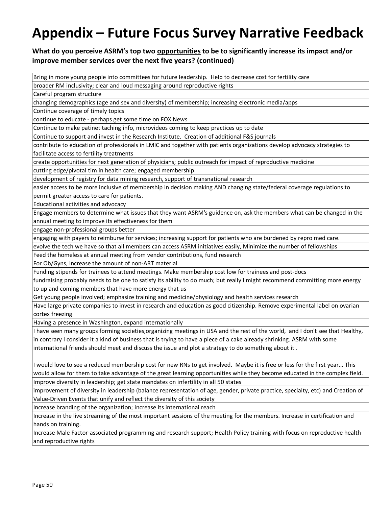#### **What do you perceive ASRM's top two opportunities to be to significantly increase its impact and/or improve member services over the next five years? (continued)**

Bring in more young people into committees for future leadership. Help to decrease cost for fertility care

broader RM inclusivity; clear and loud messaging around reproductive rights

Careful program structure

changing demographics (age and sex and diversity) of membership; increasing electronic media/apps

Continue coverage of timely topics

continue to educate - perhaps get some time on FOX News

Continue to make patinet taching info, microvideos coming to keep practices up to date

Continue to support and invest in the Research Institute. Creation of additional F&S journals

contribute to education of professionals in LMIC and together with patients organizations develop advocacy strategies to facilitate access to fertility treatments

create opportunities for next generation of physicians; public outreach for impact of reproductive medicine

cutting edge/pivotal tim in health care; engaged membership

development of registry for data mining research, support of transnational research

easier access to be more inclusive of membership in decision making AND changing state/federal coverage regulations to permit greater access to care for patients.

Educational activities and advocacy

Engage members to determine what issues that they want ASRM's guidence on, ask the members what can be changed in the annual meeting to improve its effectiveness for them

engage non-professional groups better

engaging with payers to reimburse for services; increasing support for patients who are burdened by repro med care.

evolve the tech we have so that all members can access ASRM initiatives easily, Minimize the number of fellowships

Feed the homeless at annual meeting from vendor contributions, fund research

For Ob/Gyns, increase the amount of non-ART material

Funding stipends for trainees to attend meetings. Make membership cost low for trainees and post-docs

fundraising probably needs to be one to satisfy its ability to do much; but really I might recommend committing more energy to up and coming members that have more energy that us

Get young people involved; emphasize training and medicine/physiology and health services research

Have large private companies to invest in research and education as good citizenship. Remove experimental label on ovarian cortex freezing

Having a presence in Washington, expand internationally

I have seen many groups forming societies,organizing meetings in USA and the rest of the world, and I don't see that Healthy, in contrary I consider it a kind of business that is trying to have a piece of a cake already shrinking. ASRM with some international friends should meet and discuss the issue and plot a strategy to do something about it .

I would love to see a reduced membership cost for new RNs to get involved. Maybe it is free or less for the first year... This would allow for them to take advantage of the great learning opportunities while they become educated in the complex field. Improve diversity in leadership; get state mandates on infertility in all 50 states

improvement of diversity in leadership (balance representation of age, gender, private practice, specialty, etc) and Creation of Value-Driven Events that unify and reflect the diversity of this society

Increase branding of the organization; increase its international reach

Increase in the live streaming of the most important sessions of the meeting for the members. Increase in certification and hands on training.

Increase Male Factor-associated programming and research support; Health Policy training with focus on reproductive health and reproductive rights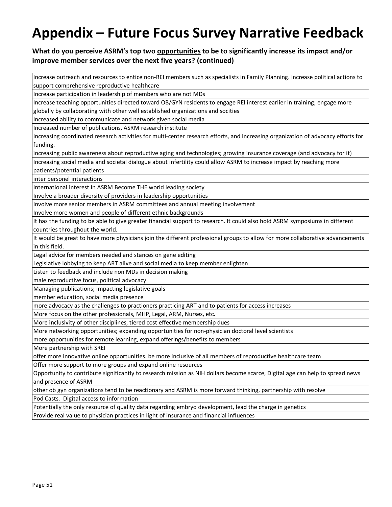### **What do you perceive ASRM's top two opportunities to be to significantly increase its impact and/or improve member services over the next five years? (continued)**

Increase outreach and resources to entice non-REI members such as specialists in Family Planning. Increase political actions to support comprehensive reproductive healthcare

Increase participation in leadership of members who are not MDs

Increase teaching opportunities directed toward OB/GYN residents to engage REI interest earlier in training; engage more globally by collaborating with other well established organizations and socities

Increased ability to communicate and network given social media

Increased number of publications, ASRM research institute

Increasing coordinated research activities for multi-center research efforts, and increasing organization of advocacy efforts for funding.

increasing public awareness about reproductive aging and technologies; growing insurance coverage (and advocacy for it)

Increasing social media and societal dialogue about infertility could allow ASRM to increase impact by reaching more patients/potential patients

inter personel interactions

International interest in ASRM Become THE world leading society

Involve a broader diversity of providers in leadership opportunities

Involve more senior members in ASRM committees and annual meeting involvement

Involve more women and people of different ethnic backgrounds

It has the funding to be able to give greater financial support to research. It could also hold ASRM symposiums in different countries throughout the world.

It would be great to have more physicians join the different professional groups to allow for more collaborative advancements in this field.

Legal advice for members needed and stances on gene editing

Legislative lobbying to keep ART alive and social media to keep member enlighten

Listen to feedback and include non MDs in decision making

male reproductive focus, political advocacy

Managing publications; impacting legislative goals

member education, social media presence

more advocacy as the challenges to practioners practicing ART and to patients for access increases

More focus on the other professionals, MHP, Legal, ARM, Nurses, etc.

More inclusivity of other disciplines, tiered cost effective membership dues

More networking opportunities; expanding opportunities for non-physician doctoral level scientists

more opportunities for remote learning, expand offerings/benefits to members

More partnership with SREI

offer more innovative online opportunities. be more inclusive of all members of reproductive healthcare team

Offer more support to more groups and expand online resources

Opportunity to contribute significantly to research mission as NIH dollars become scarce, Digital age can help to spread news and presence of ASRM

other ob gyn organizations tend to be reactionary and ASRM is more forward thinking, partnership with resolve

Pod Casts. Digital access to information

Potentially the only resource of quality data regarding embryo development, lead the charge in genetics

Provide real value to physician practices in light of insurance and financial influences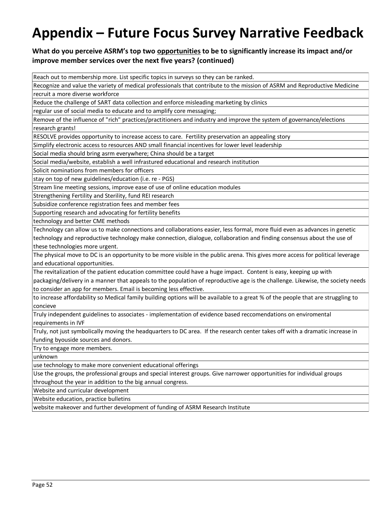#### **What do you perceive ASRM's top two opportunities to be to significantly increase its impact and/or improve member services over the next five years? (continued)**

Reach out to membership more. List specific topics in surveys so they can be ranked.

Recognize and value the variety of medical professionals that contribute to the mission of ASRM and Reproductive Medicine recruit a more diverse workforce

Reduce the challenge of SART data collection and enforce misleading marketing by clinics

regular use of social media to educate and to amplify core messaging;

Remove of the influence of "rich" practices/practitioners and industry and improve the system of governance/elections research grants!

RESOLVE provides opportunity to increase access to care. Fertility preservation an appealing story

Simplify electronic access to resources AND small financial incentives for lower level leadership

Social media should bring asrm everywhere; China should be a target

Social media/website, establish a well infrastured educational and research institution

Solicit nominations from members for officers

stay on top of new guidelines/education (i.e. re - PGS)

Stream line meeting sessions, improve ease of use of online education modules

Strengthening Fertility and Sterility, fund REI research

Subsidize conference registration fees and member fees

Supporting research and advocating for fertility benefits

technology and better CME methods

Technology can allow us to make connections and collaborations easier, less formal, more fluid even as advances in genetic technology and reproductive technology make connection, dialogue, collaboration and finding consensus about the use of these technologies more urgent.

The physical move to DC is an opportunity to be more visible in the public arena. This gives more access for political leverage and educational opportunities.

The revitalization of the patient education committee could have a huge impact. Content is easy, keeping up with packaging/delivery in a manner that appeals to the population of reproductive age is the challenge. Likewise, the society needs to consider an app for members. Email is becoming less effective.

to increase affordability so Medical family building options will be available to a great % of the people that are struggling to concieve

Truly independent guidelines to associates - implementation of evidence based reccomendations on enviromental requirements in IVF

Truly, not just symbolically moving the headquarters to DC area. If the research center takes off with a dramatic increase in funding byouside sources and donors.

Try to engage more members.

unknown

use technology to make more convenient educational offerings

Use the groups, the professional groups and special interest groups. Give narrower opportunities for individual groups throughout the year in addition to the big annual congress.

Website and curricular development

Website education, practice bulletins

website makeover and further development of funding of ASRM Research Institute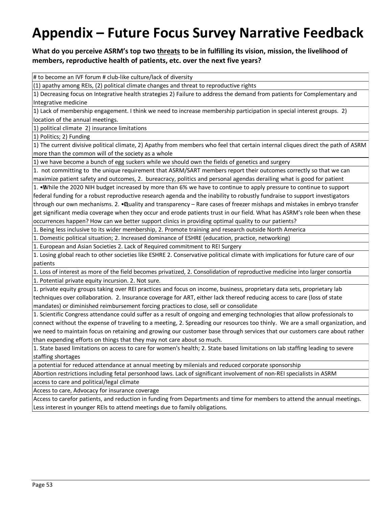**What do you perceive ASRM's top two threats to be in fulfilling its vision, mission, the livelihood of members, reproductive health of patients, etc. over the next five years?**

# to become an IVF forum # club-like culture/lack of diversity

(1) apathy among REIs, (2) political climate changes and threat to reproductive rights

1) Decreasing focus on Integrative health strategies 2) Failure to address the demand from patients for Complementary and Integrative medicine

1) Lack of membership engagement. I think we need to increase membership participation in special interest groups. 2) location of the annual meetings.

1) political climate 2) insurance limitations

1) Politics; 2) Funding

1) The current divisive political climate, 2) Apathy from members who feel that certain internal cliques direct the path of ASRM more than the common will of the society as a whole

1) we have become a bunch of egg suckers while we should own the fields of genetics and surgery

1. not committing to the unique requirement that ASRM/SART members report their outcomes correctly so that we can maximize patient safety and outcomes, 2. bureacracy, politics and personal agendas derailing what is good for patient

1. • While the 2020 NIH budget increased by more than 6% we have to continue to apply pressure to continue to support federal funding for a robust reproductive research agenda and the inability to robustly fundraise to support investigators through our own mechanisms. 2. • Quality and transparency – Rare cases of freezer mishaps and mistakes in embryo transfer get significant media coverage when they occur and erode patients trust in our field. What has ASRM's role been when these occurrences happen? How can we better support clinics in providing optimal quality to our patients?

1. Being less inclusive to its wider membership, 2. Promote training and research outside North America

1. Domestic political situation; 2. Increased dominance of ESHRE (education, practice, networking)

1. European and Asian Societies 2. Lack of Required commitment to REI Surgery

1. Losing global reach to other societies like ESHRE 2. Conservative political climate with implications for future care of our patients

1. Loss of interest as more of the field becomes privatized, 2. Consolidation of reproductive medicine into larger consortia 1. Potential private equity incursion. 2. Not sure.

1. private equity groups taking over REI practices and focus on income, business, proprietary data sets, proprietary lab techniques over collaboration. 2. Insurance coverage for ART, either lack thereof reducing access to care (loss of state mandates) or diminished reimbursement forcing practices to close, sell or consolidate

1. Scientific Congress attendance could suffer as a result of ongoing and emerging technologies that allow professionals to connect without the expense of traveling to a meeting, 2. Spreading our resources too thinly. We are a small organization, and we need to maintain focus on retaining and growing our customer base through services that our customers care about rather than expending efforts on things that they may not care about so much.

1. State based limitations on access to care for women's health; 2. State based limitations on lab staffing leading to severe staffing shortages

a potential for reduced attendance at annual meeting by milenials and reduced corporate sponsorship

Abortion restrictions including fetal personhood laws. Lack of significant involvement of non-REI specialists in ASRM

access to care and political/legal climate

Access to care, Advocacy for insurance coverage

Access to carefor patients, and reduction in funding from Departments and time for members to attend the annual meetings. Less interest in younger REIs to attend meetings due to family obligations.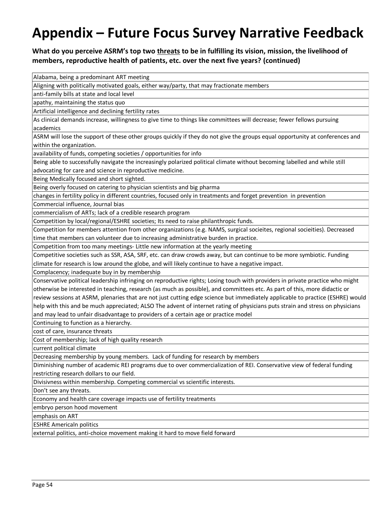**What do you perceive ASRM's top two threats to be in fulfilling its vision, mission, the livelihood of members, reproductive health of patients, etc. over the next five years? (continued)**

Alabama, being a predominant ART meeting

Aligning with politically motivated goals, either way/party, that may fractionate members

anti-family bills at state and local level

apathy, maintaining the status quo

Artificial intelligence and declining fertility rates

As clinical demands increase, willingness to give time to things like committees will decrease; fewer fellows pursuing academics

ASRM will lose the support of these other groups quickly if they do not give the groups equal opportunity at conferences and within the organization.

availability of funds, competing societies / opportunities for info

Being able to successfully navigate the increasingly polarized political climate without becoming labelled and while still advocating for care and science in reproductive medicine.

Being Medically focused and short sighted.

Being overly focused on catering to physician scientists and big pharma

changes in fertility policy in different countries, focused only in treatments and forget prevention in prevention

Commercial influence, Journal bias

commercialism of ARTs; lack of a credible research program

Competition by local/regional/ESHRE societies; Its need to raise philanthropic funds.

Competition for members attention from other organizations (e.g. NAMS, surgical socieites, regional socieities). Decreased time that members can volunteer due to increasing administrative burden in practice.

Competition from too many meetings- Little new information at the yearly meeting

Competitive societies such as SSR, ASA, SRF, etc. can draw crowds away, but can continue to be more symbiotic. Funding climate for research is low around the globe, and will likely continue to have a negative impact.

Complacency; inadequate buy in by membership

Conservative political leadership infringing on reproductive rights; Losing touch with providers in private practice who might otherwise be interested in teaching, research (as much as possible), and committees etc. As part of this, more didactic or review sessions at ASRM, plenaries that are not just cutting edge science but immediately applicable to practice (ESHRE) would help with this and be much appreciated; ALSO The advent of internet rating of physicians puts strain and stress on physicians and may lead to unfair disadvantage to providers of a certain age or practice model

Continuing to function as a hierarchy.

cost of care, insurance threats

Cost of membership; lack of high quality research

current political climate

Decreasing membership by young members. Lack of funding for research by members

Diminishing number of academic REI programs due to over commercialization of REI. Conservative view of federal funding restricting research dollars to our field.

Divisivness within membership. Competing commercial vs scientific interests.

Don't see any threats.

Economy and health care coverage impacts use of fertility treatments

embryo person hood movement

emphasis on ART

ESHRE Americaln politics

external politics, anti-choice movement making it hard to move field forward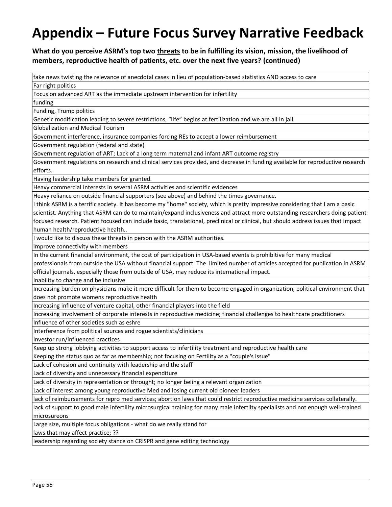**What do you perceive ASRM's top two threats to be in fulfilling its vision, mission, the livelihood of members, reproductive health of patients, etc. over the next five years? (continued)**

fake news twisting the relevance of anecdotal cases in lieu of population-based statistics AND access to care

Far right politics

Focus on advanced ART as the immediate upstream intervention for infertility

funding

Funding, Trump politics

Genetic modification leading to severe restrictions, "life" begins at fertilization and we are all in jail

Globalization and Medical Tourism

Government interference, insurance companies forcing REs to accept a lower reimbursement

Government regulation (federal and state)

Government regulation of ART; Lack of a long term maternal and infant ART outcome registry

Government regulations on research and clinical services provided, and decrease in funding available for reproductive research efforts.

Having leadership take members for granted.

Heavy commercial interests in several ASRM activities and scientific evidences

Heavy reliance on outside financial supporters (see above) and behind the times governance.

I think ASRM is a terrific society. It has become my "home" society, which is pretty impressive considering that I am a basic scientist. Anything that ASRM can do to maintain/expand inclusiveness and attract more outstanding researchers doing patient focused research. Patient focused can include basic, translational, preclinical or clinical, but should address issues that impact human health/reproductive health..

I would like to discuss these threats in person with the ASRM authorities.

improve connectivity with members

In the current financial environment, the cost of participation in USA-based events is prohibitive for many medical

professionals from outside the USA without financial support. The limited number of articles accepted for publication in ASRM official journals, especially those from outside of USA, may reduce its international impact.

Inability to change and be inclusive

Increasing burden on physicians make it more difficult for them to become engaged in organization, political environment that does not promote womens reproductive health

Increasing influence of venture capital, other financial players into the field

Increasing involvement of corporate interests in reproductive medicine; financial challenges to healthcare practitioners

Influence of other societies such as eshre

Interference from political sources and rogue scientists/clinicians

Investor run/influenced practices

Keep up strong lobbying activities to support access to infertility treatment and reproductive health care

Keeping the status quo as far as membership; not focusing on Fertility as a "couple's issue"

Lack of cohesion and continuity with leadership and the staff

Lack of diversity and unnecessary financial expenditure

Lack of diversity in representation or throught; no longer beiing a relevant organization

Lack of interest among young reproductive Med and losing current old pioneer leaders

lack of reimbursements for repro med services; abortion laws that could restrict reproductive medicine services collaterally.

lack of support to good male infertility microsurgical training for many male infertilty specialists and not enough well-trained microsureons

Large size, multiple focus obligations - what do we really stand for

laws that may affect practice; ??

leadership regarding society stance on CRISPR and gene editing technology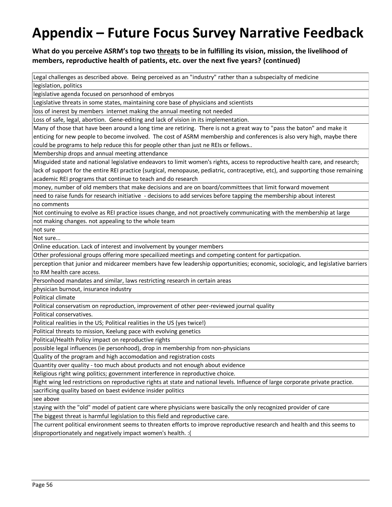### **What do you perceive ASRM's top two threats to be in fulfilling its vision, mission, the livelihood of members, reproductive health of patients, etc. over the next five years? (continued)**

Legal challenges as described above. Being perceived as an "industry" rather than a subspecialty of medicine

legislation, politics

legislative agenda focused on personhood of embryos

Legislative threats in some states, maintaining core base of physicians and scientists

loss of inerest by members internet making the annual meeting not needed

Loss of safe, legal, abortion. Gene-editing and lack of vision in its implementation.

Many of those that have been around a long time are retiring. There is not a great way to "pass the baton" and make it enticing for new people to become involved. The cost of ASRM membership and conferences is also very high, maybe there could be programs to help reduce this for people other than just ne REIs or fellows..

Membership drops and annual meeting attendance

Misguided state and national legislative endeavors to limit women's rights, access to reproductive health care, and research; lack of support for the entire REI practice (surgical, menopause, pediatric, contraceptive, etc), and supporting those remaining academic REI programs that continue to teach and do research

money, number of old members that make decisions and are on board/committees that limit forward movement

need to raise funds for research initiative - decisions to add services before tapping the membership about interest

no comments

Not continuing to evolve as REI practice issues change, and not proactively communicating with the membership at large not making changes. not appealing to the whole team

not sure

Not sure...

Online education. Lack of interest and involvement by younger members

Other professional groups offering more specailized meetings and competing content for particpation.

perception that junior and midcareer members have few leadership opportunities; economic, sociologic, and legislative barriers to RM health care access.

Personhood mandates and similar, laws restricting research in certain areas

physician burnout, insurance industry

Political climate

Political conservatism on reproduction, improvement of other peer-reviewed journal quality

Political conservatives.

Political realities in the US; Political realities in the US (yes twice!)

Political threats to mission, Keelung pace with evolving genetics

Political/Health Policy impact on reproductive rights

possible legal influences (ie personhood), drop in membership from non-physicians

Quality of the program and high accomodation and registration costs

Quantity over quality - too much about products and not enough about evidence

Religious right wing politics; government interference in reproductive choice.

Right wing led restrictions on reproductive rights at state and national levels. Influence of large corporate private practice.

sacrificing quality based on baest evidence insider politics

see above

staying with the "old" model of patient care where physicians were basically the only recognized provider of care

The biggest threat is harmful legislation to this field and reproductive care.

The current political environment seems to threaten efforts to improve reproductive research and health and this seems to disproportionately and negatively impact women's health. :(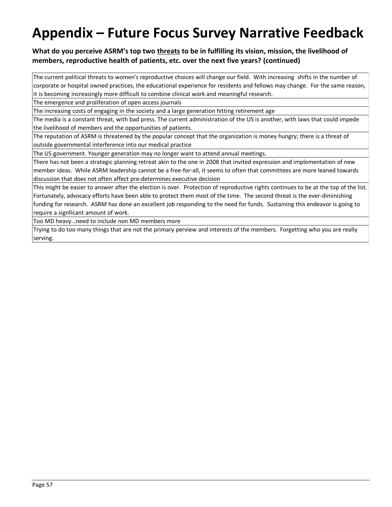### **What do you perceive ASRM's top two threats to be in fulfilling its vision, mission, the livelihood of members, reproductive health of patients, etc. over the next five years? (continued)**

The current political threats to women's reproductive choices will change our field. With increasing shifts in the number of corporate or hospital owned practices, the educational experience for residents and fellows may change. For the same reason, it is becoming increasingly more difficult to combine clinical work and meaningful research.

The emergence and proliferation of open access journals

The increasing costs of engaging in the society and a large generation hitting retirement age

The media is a constant threat, with bad press. The current administration of the US is another, with laws that could impede the livelihood of members and the opportunities of patients.

The reputation of ASRM is threatened by the popular concept that the organization is money hungry; there is a threat of outside governmental interference into our medical practice

The US government. Younger generation may no longer want to attend annual meetings.

There has not been a strategic planning retreat akin to the one in 2008 that invited expression and implementation of new member ideas. While ASRM leadership cannot be a free-for-all, it seems to often that committees are more leaned towards discussion that does not often affect pre-determines executive decision

This might be easier to answer after the election is over. Protection of reproductive rights continues to be at the top of the list. Fortunately, advocacy efforts have been able to protect them most of the time. The second threat is the ever-diminishing funding for research. ASRM has done an excellent job responding to the need for funds. Sustaining this endeavor is going to require a signficant amount of work.

Too MD heavy...need to include non MD members more

Trying to do too many things that are not the primary perview and interests of the members. Forgetting who you are really serving.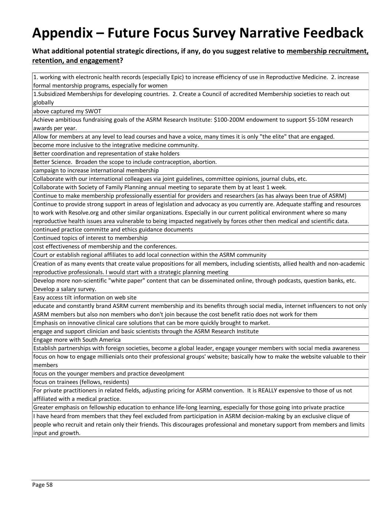### **What additional potential strategic directions, if any, do you suggest relative to membership recruitment, retention, and engagement?**

1. working with electronic health records (especially Epic) to increase efficiency of use in Reproductive Medicine. 2. increase formal mentorship programs, especially for women

1.Subsidized Memberships for developing countries. 2. Create a Council of accredited Membership societies to reach out globally

above captured my SWOT

Achieve ambitious fundraising goals of the ASRM Research Institute: \$100-200M endowment to support \$5-10M research awards per year.

Allow for members at any level to lead courses and have a voice, many times it is only "the elite" that are engaged.

become more inclusive to the integrative medicine community.

Better coordination and representation of stake holders

Better Science. Broaden the scope to include contraception, abortion.

campaign to increase international membership

Collaborate with our international colleagues via joint guidelines, committee opinions, journal clubs, etc.

Collaborate with Society of Family Planning annual meeting to separate them by at least 1 week.

Continue to make membership professionally essential for providers and researchers (as has always been true of ASRM) Continue to provide strong support in areas of legislation and advocacy as you currently are. Adequate staffing and resources to work with Resolve.org and other similar organizations. Especially in our current political environment where so many reproductive health issues area vulnerable to being impacted negatively by forces other then medical and scientific data.

continued practice committe and ethics guidance documents

Continued topics of interest to membership

cost effectiveness of membership and the conferences.

Court or establish regional affiliates to add local connection within the ASRM community

Creation of as many events that create value propositions for all members, including scientists, allied health and non-academic reproductive professionals. I would start with a strategic planning meeting

Develop more non-scientific "white paper" content that can be disseminated online, through podcasts, question banks, etc. Develop a salary survey.

Easy access tilt information on web site

educate and constantly brand ASRM current membership and its benefits through social media, internet influencers to not only ASRM members but also non members who don't join because the cost benefit ratio does not work for them

Emphasis on innovative clinical care solutions that can be more quickly brought to market.

engage and support clinician and basic scientists through the ASRM Research Institute

Engage more with South America

Establish partnerships with foreign societies, become a global leader, engage younger members with social media awareness focus on how to engage millienials onto their professional groups' website; basically how to make the website valuable to their members

focus on the younger members and practice deveolpment

focus on trainees (fellows, residents)

For private practitioners in related fields, adjusting pricing for ASRM convention. It is REALLY expensive to those of us not affiliated with a medical practice.

Greater emphasis on fellowship education to enhance life-long learning, especially for those going into private practice

I have heard from members that they feel excluded from participation in ASRM decision-making by an exclusive clique of people who recruit and retain only their friends. This discourages professional and monetary support from members and limits input and growth.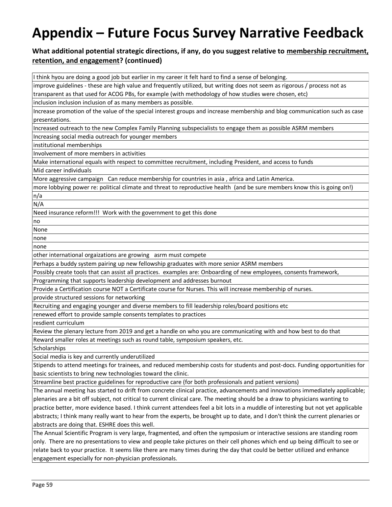### **What additional potential strategic directions, if any, do you suggest relative to membership recruitment, retention, and engagement? (continued)**

I think hyou are doing a good job but earlier in my career it felt hard to find a sense of belonging. improve guidelines - these are high value and frequently utilized, but writing does not seem as rigorous / process not as transparent as that used for ACOG PBs, for example (with methodology of how studies were chosen, etc) inclusion inclusion inclusion of as many members as possible. Increase promotion of the value of the special interest groups and increase membership and blog communication such as case presentations. Increased outreach to the new Complex Family Planning subspecialists to engage them as possible ASRM members Increasing social media outreach for younger members institutional memberships Involvement of more members in activities Make international equals with respect to committee recruitment, including President, and access to funds Mid career individuals More aggressive campaign Can reduce membership for countries in asia , africa and Latin America. more lobbying power re: political climate and threat to reproductive health (and be sure members know this is going on!) n/a N/A Need insurance reform!!! Work with the government to get this done no None none none other international orgaizations are growing asrm must compete Perhaps a buddy system pairing up new fellowship graduates with more senior ASRM members Possibly create tools that can assist all practices. examples are: Onboarding of new employees, consents framework, Programming that supports leadership development and addresses burnout Provide a Certification course NOT a Certificate course for Nurses. This will increase membership of nurses. provide structured sessions for networking Recruiting and engaging younger and diverse members to fill leadership roles/board positions etc renewed effort to provide sample consents templates to practices resdient curriculum Review the plenary lecture from 2019 and get a handle on who you are communicating with and how best to do that Reward smaller roles at meetings such as round table, symposium speakers, etc. **Scholarships** Social media is key and currently underutilized Stipends to attend meetings for trainees, and reduced membership costs for students and post-docs. Funding opportunities for basic scientists to bring new technologies toward the clinic. Streamline best practice guidelines for reproductive care (for both professionals and patient versions) The annual meeting has started to drift from concrete clinical practice, advancements and innovations immediately applicable; plenaries are a bit off subject, not critical to current clinical care. The meeting should be a draw to physicians wanting to practice better, more evidence based. I think current attendees feel a bit lots in a muddle of interesting but not yet applicable abstracts; I think many really want to hear from the experts, be brought up to date, and I don't think the current plenaries or

abstracts are doing that. ESHRE does this well.

The Annual Scientific Program is very large, fragmented, and often the symposium or interactive sessions are standing room only. There are no presentations to view and people take pictures on their cell phones which end up being difficult to see or relate back to your practice. It seems like there are many times during the day that could be better utilized and enhance engagement especially for non-physician professionals.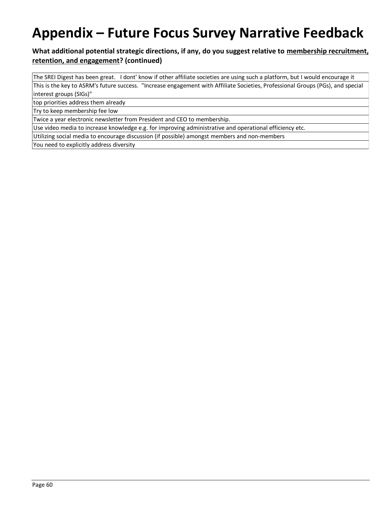### **What additional potential strategic directions, if any, do you suggest relative to membership recruitment, retention, and engagement? (continued)**

The SREI Digest has been great. I dont' know if other affiliate societies are using such a platform, but I would encourage it This is the key to ASRM's future success. "Increase engagement with Affiliate Societies, Professional Groups (PGs), and special interest groups (SIGs)"

top priorities address them already

Try to keep membership fee low

Twice a year electronic newsletter from President and CEO to membership.

Use video media to increase knowledge e.g. for improving administrative and operational efficiency etc.

Utilizing social media to encourage discussion (if possible) amongst members and non-members

You need to explicitly address diversity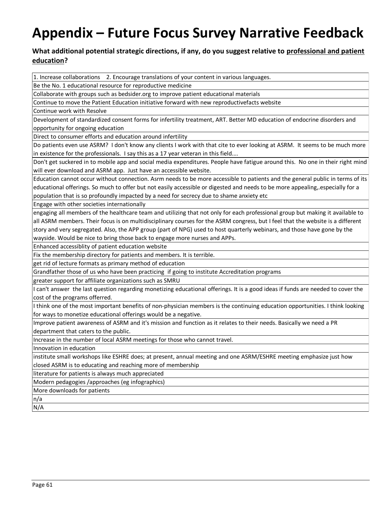### **What additional potential strategic directions, if any, do you suggest relative to professional and patient education?**

1. Increase collaborations 2. Encourage translations of your content in various languages.

Be the No. 1 educational resource for reproductive medicine

Collaborate with groups such as bedsider.org to improve patient educational materials

Continue to move the Patient Education initiative forward with new reproductivefacts website

Continue work with Resolve

Development of standardized consent forms for infertility treatment, ART. Better MD education of endocrine disorders and opportunity for ongoing education

Direct to consumer efforts and education around infertility

Do patients even use ASRM? I don't know any clients I work with that cite to ever looking at ASRM. It seems to be much more in existence for the professionals. I say this as a 17 year veteran in this field....

Don't get suckered in to mobile app and social media expenditures. People have fatigue around this. No one in their right mind will ever download and ASRM app. Just have an accessible website.

Education cannot occur without connection. Asrm needs to be more accessible to patients and the general public in terms of its educational offerings. So much to offer but not easily accessible or digested and needs to be more appealing,.especially for a population that is so profoundly impacted by a need for secrecy due to shame anxiety etc

Engage with other societies internationally

engaging all members of the healthcare team and utilizing that not only for each professional group but making it available to all ASRM members. Their focus is on multidisciplinary courses for the ASRM congress, but I feel that the website is a different story and very segregated. Also, the APP group (part of NPG) used to host quarterly webinars, and those have gone by the wayside. Would be nice to bring those back to engage more nurses and APPs.

Enhanced accessiblity of patient education website

Fix the membership directory for patients and members. It is terrible.

get rid of lecture formats as primary method of education

Grandfather those of us who have been practicing if going to institute Accreditation programs

greater support for affiliate organizations such as SMRU

I can't answer the last question regarding monetizing educational offerings. It is a good ideas if funds are needed to cover the cost of the programs offerred.

I think one of the most important benefits of non-physician members is the continuing education opportunities. I think looking for ways to monetize educational offerings would be a negative.

Improve patient awareness of ASRM and it's mission and function as it relates to their needs. Basically we need a PR department that caters to the public.

Increase in the number of local ASRM meetings for those who cannot travel.

Innovation in education

institute small workshops like ESHRE does; at present, annual meeting and one ASRM/ESHRE meeting emphasize just how closed ASRM is to educating and reaching more of membership

literature for patients is always much appreciated

Modern pedagogies /approaches (eg infographics)

More downloads for patients

n/a

N/A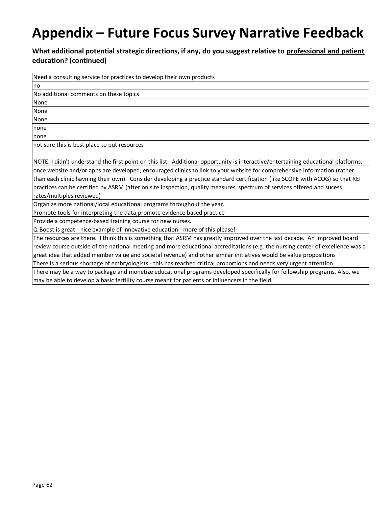**What additional potential strategic directions, if any, do you suggest relative to professional and patient education? (continued)**

| Need a consulting service for practices to develop their own products                                                             |
|-----------------------------------------------------------------------------------------------------------------------------------|
| lno.                                                                                                                              |
| No additional comments on these topics                                                                                            |
| None                                                                                                                              |
| None                                                                                                                              |
| None                                                                                                                              |
| none                                                                                                                              |
| none                                                                                                                              |
| not sure this is best place to put resources                                                                                      |
|                                                                                                                                   |
| NOTE: I didn't understand the first point on this list. Additional opportunity is interactive/entertaining educational platforms. |
| once website and/or apps are developed, encouraged clinics to link to your website for comprehensive information (rather          |
| than each clinic havning their own). Consider developing a practice standard certification (like SCOPE with ACOG) so that REI     |
| practices can be certified by ASRM (after on site inspection, quality measures, spectrum of services offered and sucess           |
| rates/multiples reviewed)                                                                                                         |
| Organize more national/local educational programs throughout the year.                                                            |
| Promote tools for interpreting the data; promote evidence based practice                                                          |

Provide a competence-based training course for new nurses.

Q Boost is great - nice example of innovative education - more of this please!

The resources are there. I think this is something that ASRM has greatly improved over the last decade. An improved board review course outside of the national meeting and more educational accreditations (e.g. the nursing center of excellence was a great idea that added member value and societal revenue) and other similar initiatives would be value propositions

There is a serious shortage of embryologists - this has reached critical proportions and needs very urgent attention There may be a way to package and monetize educational programs developed specifically for fellowship programs. Also, we may be able to develop a basic fertility course meant for patients or influencers in the field.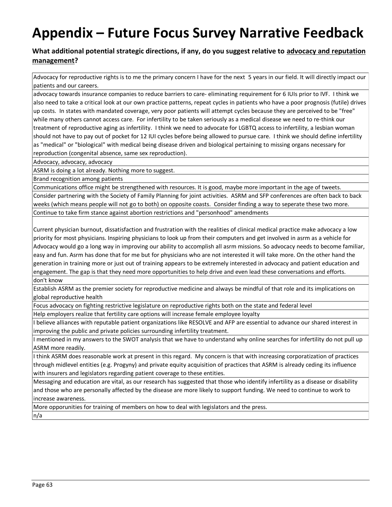### **What additional potential strategic directions, if any, do you suggest relative to advocacy and reputation management?**

Advocacy for reproductive rights is to me the primary concern I have for the next 5 years in our field. It will directly impact our patients and our careers.

advocacy towards insurance companies to reduce barriers to care- eliminating requirement for 6 IUIs prior to IVF. I think we also need to take a critical look at our own practice patterns, repeat cycles in patients who have a poor prognosis (futile) drives up costs. In states with mandated coverage, very poor patients will attempt cycles because they are perceived to be "free" while many others cannot access care. For infertility to be taken seriously as a medical disease we need to re-think our treatment of reproductive aging as infertility. I think we need to advocate for LGBTQ access to infertility, a lesbian woman should not have to pay out of pocket for 12 IUI cycles before being allowed to pursue care. I think we should define infertility as "medical" or "biological" with medical being disease driven and biological pertaining to missing organs necessary for reproduction (congenital absence, same sex reproduction).

Advocacy, advocacy, advocacy

ASRM is doing a lot already. Nothing more to suggest.

Brand recognition among patients

Communications office might be strengthened with resources. It is good, maybe more important in the age of tweets. Consider partnering with the Society of Family Planning for joint activities. ASRM and SFP conferences are often back to back weeks (which means people will not go to both) on opposite coasts. Consider finding a way to seperate these two more. Continue to take firm stance against abortion restrictions and "personhood" amendments

Current physician burnout, dissatisfaction and frustration with the realities of clinical medical practice make advocacy a low priority for most physicians. Inspiring physicians to look up from their computers and get involved in asrm as a vehicle for Advocacy would go a long way in improving our ability to accomplish all asrm missions. So advocacy needs to become familiar, easy and fun. Asrm has done that for me but for physicians who are not interested it will take more. On the other hand the generation in training more or just out of training appears to be extremely interested in advocacy and patient education and engagement. The gap is that they need more opportunities to help drive and even lead these conversations and efforts. don't know

Establish ASRM as the premier society for reproductive medicine and always be mindful of that role and its implications on global reproductive health

Focus advocacy on fighting restrictive legislature on reproductive rights both on the state and federal level

Help employers realize that fertility care options will increase female employee loyalty

I believe alliances with reputable patient organizations like RESOLVE and AFP are essential to advance our shared interest in improving the public and private policies surrounding infertility treatment.

I mentioned in my answers to the SWOT analysis that we have to understand why online searches for infertility do not pull up ASRM more readily.

I think ASRM does reasonable work at present in this regard. My concern is that with increasing corporatization of practices through midlevel entities (e.g. Progyny) and private equity acquisition of practices that ASRM is already ceding its influence with insurers and legislators regarding patient coverage to these entities.

Messaging and education are vital, as our research has suggested that those who identify infertility as a disease or disability and those who are personally affected by the disease are more likely to support funding. We need to continue to work to increase awareness.

More opporunities for training of members on how to deal with legislators and the press.

n/a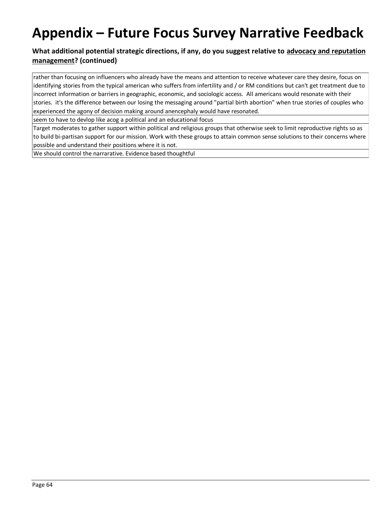### **What additional potential strategic directions, if any, do you suggest relative to advocacy and reputation management? (continued)**

rather than focusing on influencers who already have the means and attention to receive whatever care they desire, focus on identifying stories from the typical american who suffers from infertility and / or RM conditions but can't get treatment due to incorrect information or barriers in geographic, economic, and sociologic access. All americans would resonate with their stories. it's the difference between our losing the messaging around "partial birth abortion" when true stories of couples who experienced the agony of decision making around anencephaly would have resonated.

seem to have to devlop like acog a political and an educational focus

Target moderates to gather support within political and religious groups that otherwise seek to limit reproductive rights so as to build bi-partisan support for our mission. Work with these groups to attain common sense solutions to their concerns where possible and understand their positions where it is not.

We should control the narrarative. Evidence based thoughtful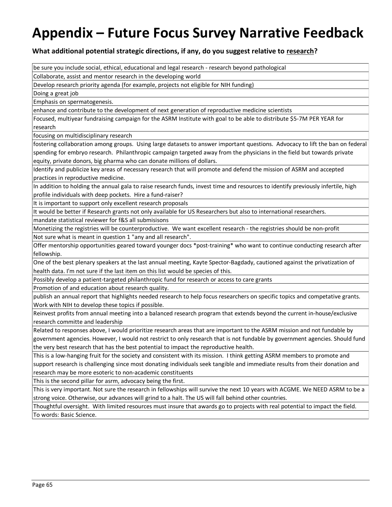#### **What additional potential strategic directions, if any, do you suggest relative to research?**

be sure you include social, ethical, educational and legal research - research beyond pathological

Collaborate, assist and mentor research in the developing world

Develop research priority agenda (for example, projects not eligible for NIH funding)

Doing a great job

Emphasis on spermatogenesis.

enhance and contribute to the development of next generation of reproductive medicine scientists

Focused, multiyear fundraising campaign for the ASRM Institute with goal to be able to distribute \$5-7M PER YEAR for research

focusing on multidisciplinary research

fostering collaboration among groups. Using large datasets to answer important questions. Advocacy to lift the ban on federal spending for embryo research. Philanthropic campaign targeted away from the physicians in the field but towards private equity, private donors, big pharma who can donate millions of dollars.

Identify and publicize key areas of necessary research that will promote and defend the mission of ASRM and accepted practices in reproductive medicine.

In addition to holding the annual gala to raise research funds, invest time and resources to identify previously infertile, high profile individuals with deep pockets. Hire a fund-raiser?

It is important to support only excellent research proposals

It would be better if Research grants not only available for US Researchers but also to international researchers.

mandate statistical reviewer for f&S all submisisons

Monetizing the registries will be counterproductive. We want excellent research - the registries should be non-profit Not sure what is meant in question 1 "any and all research".

Offer mentorship opportunities geared toward younger docs \*post-training\* who want to continue conducting research after fellowship.

One of the best plenary speakers at the last annual meeting, Kayte Spector-Bagdady, cautioned against the privatization of health data. I'm not sure if the last item on this list would be species of this.

Possibly develop a patient-targeted philanthropic fund for research or access to care grants

Promotion of and education about research quality.

publish an annual report that highlights needed research to help focus researchers on specific topics and competative grants. Work with NIH to develop these topics if possible.

Reinvest profits from annual meeting into a balanced research program that extends beyond the current in-house/exclusive research committe and leadership

Related to responses above, I would prioritize research areas that are important to the ASRM mission and not fundable by government agencies. However, I would not restrict to only research that is not fundable by government agencies. Should fund the very best research that has the best potential to impact the reproductive health.

This is a low-hanging fruit for the society and consistent with its mission. I think getting ASRM members to promote and support research is challenging since most donating individuals seek tangible and immediate results from their donation and research may be more esoteric to non-academic constituents

This is the second pillar for asrm, advocacy being the first.

This is very important. Not sure the research in fellowships will survive the next 10 years with ACGME. We NEED ASRM to be a strong voice. Otherwise, our advances will grind to a halt. The US will fall behind other countries.

Thoughtful oversight. With limited resources must insure that awards go to projects with real potential to impact the field. To words: Basic Science.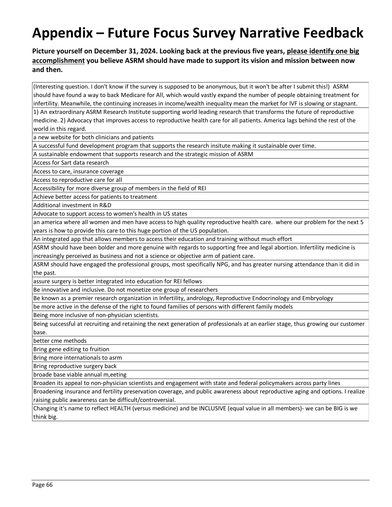**Picture yourself on December 31, 2024. Looking back at the previous five years, please identify one big accomplishment you believe ASRM should have made to support its vision and mission between now and then.**

(Interesting question. I don't know if the survey is supposed to be anonymous, but it won't be after I submit this!) ASRM should have found a way to back Medicare for All, which would vastly expand the number of people obtaining treatment for infertility. Meanwhile, the continuing increases in income/wealth inequality mean the market for IVF is slowing or stagnant.

1) An extraordinary ASRM Research Institute supporting world leading research that transforms the future of reproductive medicine. 2) Advocacy that improves access to reproductive health care for all patients. America lags behind the rest of the world in this regard.

a new website for both clinicians and patients

A successful fund development program that supports the research insitute making it sustainable over time.

A sustainable endowment that supports research and the strategic mission of ASRM

Access for Sart data research

Access to care, insurance coverage

Access to reproductive care for all

Accessibility for more diverse group of members in the field of REI

Achieve better access for patients to treatment

Additional investment in R&D

Advocate to support access to women's health in US states

an america where all women and men have access to high quality reproductive health care. where our problem for the next 5 years is how to provide this care to this huge portion of the US population.

An integrated app that allows members to access their education and training without much effort

ASRM should have been bolder and more genuine with regards to supporting free and legal abortion. Infertility medicine is increasingly perceived as business and not a science or objective arm of patient care.

ASRM should have engaged the professional groups, most specifically NPG, and has greater nursing attendance than it did in the past.

assure surgery is better integrated into education for REI fellows

Be innovative and inclusive. Do not monetize one group of researchers

Be known as a premier research organization in Infertility, andrology, Reproductive Endocrinology and Embryology

be more active in the defense of the right to found families of persons with different family models

Being more inclusive of non-physician scientists.

Being successful at recruiting and retaining the next generation of professionals at an earlier stage, thus growing our customer base.

better cme methods

Bring gene editing to fruition

Bring more internationals to asrm

Bring reproductive surgery back

broade base viable annual m,eeting

Broaden its appeal to non-physician scientists and engagement with state and federal policymakers across party lines

Broadening insurance and fertility preservation coverage, and public awareness about reproductive aging and options. I realize raising public awareness can be difficult/controversial.

Changing it's name to reflect HEALTH (versus medicine) and be INCLUSIVE (equal value in all members)- we can be BIG is we think big.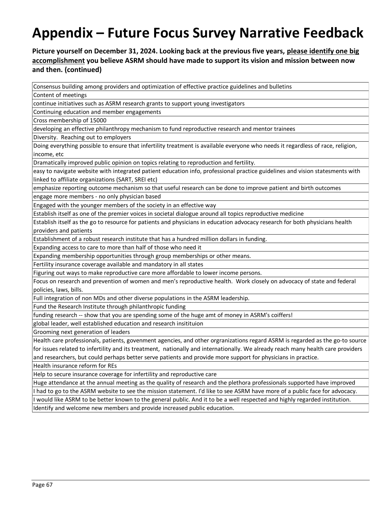### **Picture yourself on December 31, 2024. Looking back at the previous five years, please identify one big accomplishment you believe ASRM should have made to support its vision and mission between now and then. (continued)**

Consensus building among providers and optimization of effective practice guidelines and bulletins

Content of meetings

continue initiatives such as ASRM research grants to support young investigators

Continuing education and member engagements

Cross membership of 15000

developing an effective philanthropy mechanism to fund reproductive research and mentor trainees

Diversity. Reaching out to employers

Doing everything possible to ensure that infertility treatment is available everyone who needs it regardless of race, religion, income, etc

Dramatically improved public opinion on topics relating to reproduction and fertility.

easy to navigate website with integrated patient education info, professional practice guidelines and vision statesments with linked to affiliate organizations (SART, SREI etc)

emphasize reporting outcome mechanism so that useful research can be done to improve patient and birth outcomes

engage more members - no only physician based

Engaged with the younger members of the society in an effective way

Establish itself as one of the premier voices in societal dialogue around all topics reproductive medicine

Establish itself as the go to resource for patients and physicians in education advocacy research for both physicians health providers and patients

Establishment of a robust research institute that has a hundred million dollars in funding.

Expanding access to care to more than half of those who need it

Expanding membership opportunities through group memberships or other means.

Fertility insurance coverage available and mandatory in all states

Figuring out ways to make reproductive care more affordable to lower income persons.

Focus on research and prevention of women and men's reproductive health. Work closely on advocacy of state and federal policies, laws, bills.

Full integration of non MDs and other diverse populations in the ASRM leadership.

Fund the Research Institute through philanthropic funding

funding research -- show that you are spending some of the huge amt of money in ASRM's coiffers!

global leader, well established education and research insitituion

Grooming next generation of leaders

Health care professionals, patients, govenment agencies, and other orgranizations regard ASRM is regarded as the go-to source for issues related to infertility and its treatment, nationally and internationally. We already reach many health care providers and researchers, but could perhaps better serve patients and provide more support for physicians in practice.

Health insurance reform for REs

Help to secure insurance coverage for infertility and reproductive care

Huge attendance at the annual meeting as the quality of research and the plethora professionals supported have improved

I had to go to the ASRM website to see the mission statement. I'd like to see ASRM have more of a public face for advocacy.

would like ASRM to be better known to the general public. And it to be a well respected and highly regarded institution. Identify and welcome new members and provide increased public education.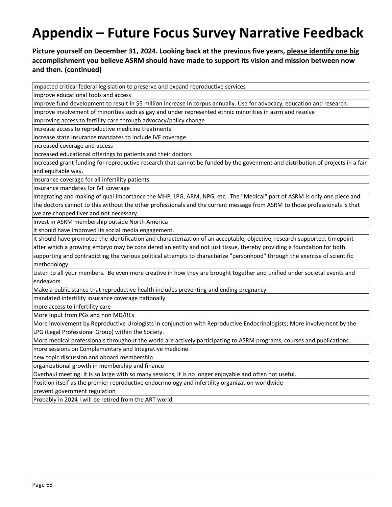### **Picture yourself on December 31, 2024. Looking back at the previous five years, please identify one big accomplishment you believe ASRM should have made to support its vision and mission between now and then. (continued)**

impacted critical federal legislation to preserve and expand reproductive services

Improve educational tools and access

Improve fund development to result in \$5 million increase in corpus annually. Use for advocacy, education and research.

Improve involvement of minorities such as gay and under represented ethnic minorities in asrm and resolve

Improving access to fertility care through advocacy/policy change

Increase access to reproductive medicine treatments

Increase state insurance mandates to include IVF coverage

increased coverage and access

Increased educational offerings to patients and their doctors

Increased grant funding for reproductive research that cannot be funded by the govenment and distribution of projects in a fair and equitable way.

Insurance coverage for all infertility patients

Insurance mandates for IVF coverage

Integrating and making of qual importance the MHP, LPG, ARM, NPG, etc. The "Medical" part of ASRM is only one piece and the doctors cannot to this without the other professionals and the current message from ASRM to those professionals is that we are chopped liver and not necessary.

Invest in ASRM membership outside North America

It should have improved its social media engagement.

It should have promoted the identification and characterization of an acceptable, objective, research supported, timepoint after which a growing embryo may be considered an entity and not just tissue, thereby providing a foundation for both supporting and contradicting the various political attempts to characterize "personhood" through the exercise of scientific methodology.

Listen to all your members. Be even more creative in how they are brought together and unified under societal events and endeavors

Make a public stance that reproductive health includes preventing and ending pregnancy

mandated infertility insurance coverage nationally

more access to infertility care

More input from PGs and non MD/REs

More involvement by Reproductive Urologists in conjunction with Reproductive Endocrinologists; More involvement by the LPG (Legal Professional Group) within the Society.

More medical professionals throughout the world are actively participating to ASRM programs, courses and publications.

more sessions on Complementary and Integrative medicine

new topic discussion and aboard membership

organizational growth in membership and finance

Overhaul meeting. It is so large with so many sessions, it is no longer enjoyable and often not useful.

Position itself as the premier reproductive endocrinology and infertility organization worldwide

prevent government regulation

Probably in 2024 I will be retired from the ART world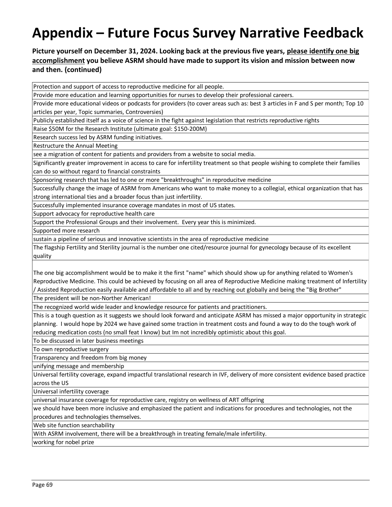### **Picture yourself on December 31, 2024. Looking back at the previous five years, please identify one big accomplishment you believe ASRM should have made to support its vision and mission between now and then. (continued)**

Protection and support of access to reproductive medicine for all people.

Provide more education and learning opportunities for nurses to develop their professional careers.

Provide more educational videos or podcasts for providers (to cover areas such as: best 3 articles in F and S per month; Top 10 articles per year, Topic summaries, Controversies)

Publicly established itself as a voice of science in the fight against legislation that restricts reproductive rights

Raise \$50M for the Research Institute (ultimate goal: \$150-200M)

Research success led by ASRM funding initiatives.

Restructure the Annual Meeting

see a migration of content for patients and providers from a website to social media.

Significantly greater improvement in access to care for infertility treatment so that people wishing to complete their families can do so without regard to financial constraints

Sponsoring research that has led to one or more "breakthroughs" in reproducitve medicine

Successfully change the image of ASRM from Americans who want to make money to a collegial, ethical organization that has strong international ties and a broader focus than just infertility.

Successfully implemented insurance coverage mandates in most of US states.

Support advocacy for reproductive health care

Support the Professional Groups and their involvement. Every year this is minimized.

Supported more research

sustain a pipeline of serious and innovative scientists in the area of reproductive medicine

The flagship Fertility and Sterility journal is the number one cited/resource journal for gynecology because of its excellent quality

The one big accomplishment would be to make it the first "name" which should show up for anything related to Women's Reproductive Medicine. This could be achieved by focusing on all area of Reproductive Medicine making treatment of Infertility / Assisted Reproduction easily available and affordable to all and by reaching out globally and being the "Big Brother"

The president will be non-Norther American!

The recognized world wide leader and knowledge resource for patients and practitioners.

This is a tough question as it suggests we should look forward and anticipate ASRM has missed a major opportunity in strategic planning. I would hope by 2024 we have gained some traction in treatment costs and found a way to do the tough work of reducing medication costs (no small feat I know) but Im not incredibly optimistic about this goal.

To be discussed in later business meetings

To own reproductive surgery

Transparency and freedom from big money

unifying message and membership

Universal fertility coverage, expand impactful translational research in IVF, delivery of more consistent evidence based practice across the US

Universal infertility coverage

universal insurance coverage for reproductive care, registry on wellness of ART offspring

we should have been more inclusive and emphasized the patient and indications for procedures and technologies, not the procedures and technologies themselves.

Web site function searchability

With ASRM involvement, there will be a breakthrough in treating female/male infertility.

working for nobel prize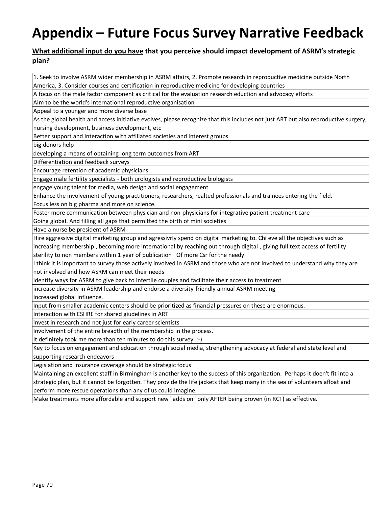### **What additional input do you have that you perceive should impact development of ASRM's strategic plan?**

1. Seek to involve ASRM wider membership in ASRM affairs, 2. Promote research in reproductive medicine outside North America, 3. Consider courses and certification in reproductive medicine for developing countries A focus on the male factor component as critical for the evaluation research eduction and advocacy efforts Aim to be the world's international reproductive organisation Appeal to a younger and more diverse base As the global health and access initiative evolves, please recognize that this includes not just ART but also reproductive surgery, nursing development, business development, etc Better support and interaction with affiliated societies and interest groups. big donors help developing a means of obtaining long term outcomes from ART Differentiation and feedback surveys Encourage retention of academic physicians Engage male fertility specialists - both urologists and reproductive biologists engage young talent for media, web design and social engagement Enhance the involvement of young practitioners, researchers, realted professionals and trainees entering the field. Focus less on big pharma and more on science. Foster more communication between physician and non-physicians for integrative patient treatment care Going global. And filling all gaps that permitted the birth of mini societies Have a nurse be president of ASRM Hire aggressive digital marketing group and agressivrly spend on digital marketing to. Chi eve all the objectives such as increasing membership , becoming more international by reaching out through digital , giving full text access of fertility sterility to non members within 1 year of publication Of more Csr for the needy I think it is important to survey those actively involved in ASRM and those who are not involved to understand why they are not involved and how ASRM can meet their needs identify ways for ASRM to give back to infertile couples and facilitate their access to treatment increase diversity in ASRM leadership and endorse a diversity-friendly annual ASRM meeting Increased global influence. Input from smaller academic centers should be prioritized as financial pressures on these are enormous. Interaction with ESHRE for shared giudelines in ART invest in research and not just for early career scientists Involvement of the entire breadth of the membership in the process. It definitely took me more than ten minutes to do this survey. :-) Key to focus on engagement and education through social media, strengthening advocacy at federal and state level and supporting research endeavors

Legislation and insurance coverage should be strategic focus

Maintaining an excellent staff in Birmingham is another key to the success of this organization. Perhaps it doen't fit into a strategic plan, but it cannot be forgotten. They provide the life jackets that keep many in the sea of volunteers afloat and perform more rescue operations than any of us could imagine.

Make treatments more affordable and support new "adds on" only AFTER being proven (in RCT) as effective.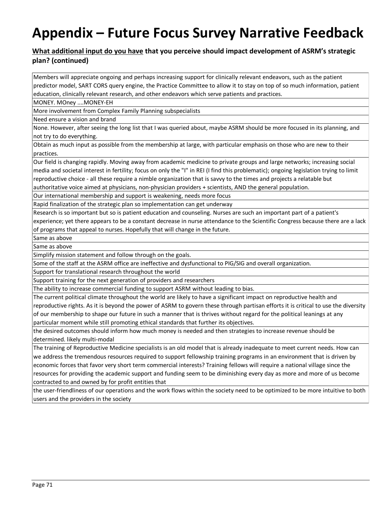### **What additional input do you have that you perceive should impact development of ASRM's strategic plan? (continued)**

Members will appreciate ongoing and perhaps increasing support for clinically relevant endeavors, such as the patient predictor model, SART CORS query engine, the Practice Committee to allow it to stay on top of so much information, patient education, clinically relevant research, and other endeavors which serve patients and practices.

MONEY. MOney ....MONEY-EH

More involvement from Complex Family Planning subspecialists

Need ensure a vision and brand

None. However, after seeing the long list that I was queried about, maybe ASRM should be more focused in its planning, and not try to do everything.

Obtain as much input as possible from the membership at large, with particular emphasis on those who are new to their practices.

Our field is changing rapidly. Moving away from academic medicine to private groups and large networks; increasing social media and societal interest in fertility; focus on only the "I" in REI (I find this problematic); ongoing legislation trying to limit reproductive choice - all these require a nimble organization that is savvy to the times and projects a relatable but authoritative voice aimed at physicians, non-physician providers + scientists, AND the general population.

Our international membership and support is weakening, needs more focus

Rapid finalization of the strategic plan so implementation can get underway

Research is so important but so is patient education and counseling. Nurses are such an important part of a patient's

experience; yet there appears to be a constant decrease in nurse attendance to the Scientific Congress because there are a lack of programs that appeal to nurses. Hopefully that will change in the future.

Same as above

Same as above

Simplify mission statement and follow through on the goals.

Some of the staff at the ASRM office are ineffective and dysfunctional to PIG/SIG and overall organization.

Support for translational research throughout the world

Support training for the next generation of providers and researchers

The ability to increase commercial funding to support ASRM without leading to bias.

The current political climate throughout the world are likely to have a significant impact on reproductive health and reproductive rights. As it is beyond the power of ASRM to govern these through partisan efforts it is critical to use the diversity of our membership to shape our future in such a manner that is thrives without regard for the political leanings at any particular moment while still promoting ethical standards that further its objectives.

the desired outcomes should inform how much money is needed and then strategies to increase revenue should be determined. likely multi-modal

The training of Reproductive Medicine specialists is an old model that is already inadequate to meet current needs. How can we address the tremendous resources required to support fellowship training programs in an environment that is driven by economic forces that favor very short term commercial interests? Training fellows will require a national village since the resources for providing the academic support and funding seem to be diminishing every day as more and more of us become contracted to and owned by for profit entities that

the user-friendliness of our operations and the work flows within the society need to be optimized to be more intuitive to both users and the providers in the society